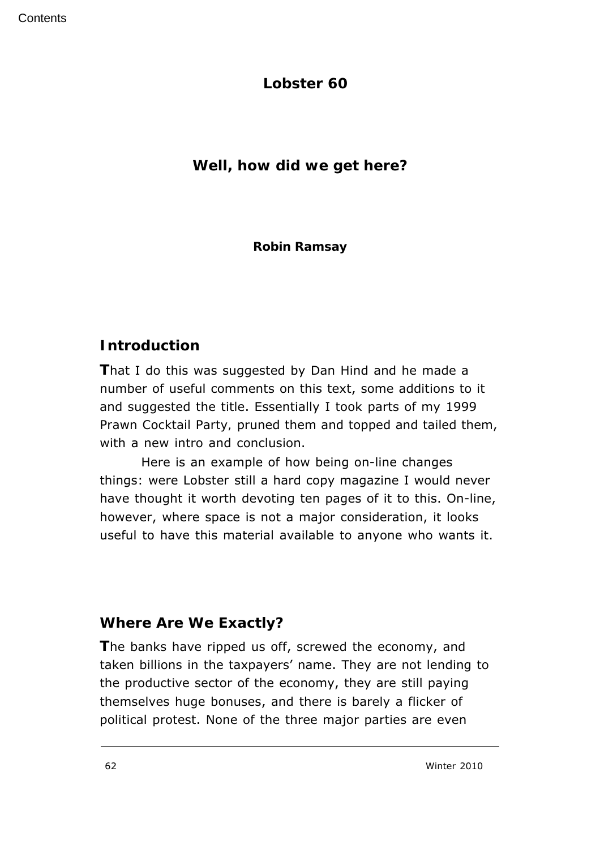**Lobster 60**

**Well, how did we get here?**

**Robin Ramsay**

# **Introduction**

**T**hat I do this was suggested by Dan Hind and he made a number of useful comments on this text, some additions to it and suggested the title. Essentially I took parts of my 1999 *Prawn Cocktail Party,* pruned them and topped and tailed them, with a new intro and conclusion.

 Here is an example of how being on-line changes things: were *Lobster* still a hard copy magazine I would never have thought it worth devoting ten pages of it to this. On-line, however, where space is not a major consideration, it looks useful to have this material available to anyone who wants it.

# **Where Are We Exactly?**

**T**he banks have ripped us off, screwed the economy, and taken billions in the taxpayers' name. They are not lending to the productive sector of the economy, they are still paying themselves huge bonuses, and there is barely a flicker of political protest. None of the three major parties are even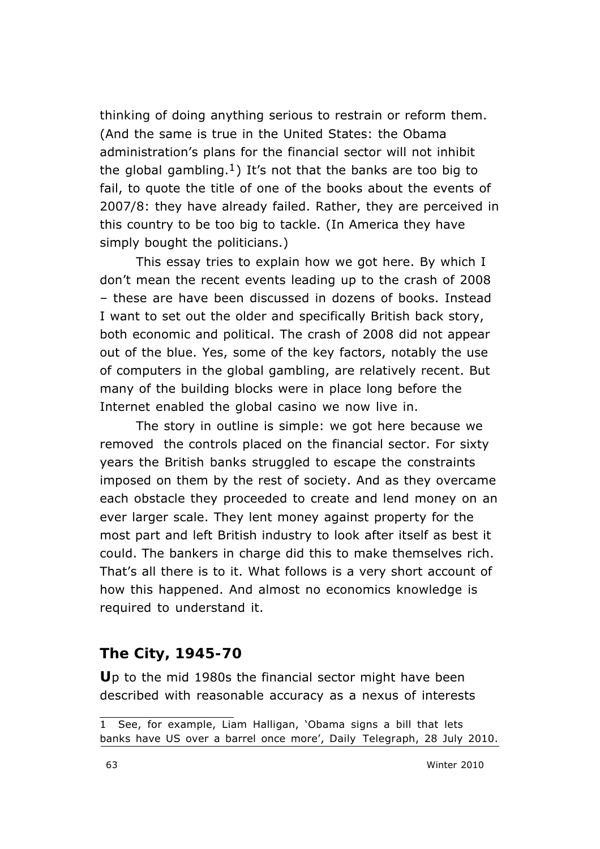*thinking* of doing anything serious to restrain or reform them. (And the same is true in the United States: the Obama administration's plans for the financial sector will not inhibit the global gambling.<sup>1</sup>) It's not that the banks are too big to fail, to quote the title of one of the books about the events of 2007/8: they have already failed. Rather, they are perceived in this country to be too big to tackle. (In America they have simply bought the politicians.)

This essay tries to explain how we got here. By which I don't mean the recent events leading up to the crash of 2008 – these are have been discussed in dozens of books. Instead I want to set out the older and specifically British back story, both economic and political. The crash of 2008 did not appear out of the blue. Yes, some of the key factors, notably the use of computers in the global gambling, are relatively recent. But many of the building blocks were in place long before the Internet enabled the global casino we now live in.

The story in outline is simple: we got here because we removed the controls placed on the financial sector. For sixty years the British banks struggled to escape the constraints imposed on them by the rest of society. And as they overcame each obstacle they proceeded to create and lend money on an ever larger scale. They lent money against property for the most part and left British industry to look after itself as best it could. The bankers in charge did this to make themselves rich. That's all there is to it. What follows is a very short account of how this happened. And almost no economics knowledge is required to understand it.

#### **The City, 1945-70**

**U**p to the mid 1980s the financial sector might have been described with reasonable accuracy as a nexus of interests

<sup>1</sup> See, for example, Liam Halligan, 'Obama signs a bill that lets banks have US over a barrel once more', *Daily Telegraph*, 28 July 2010.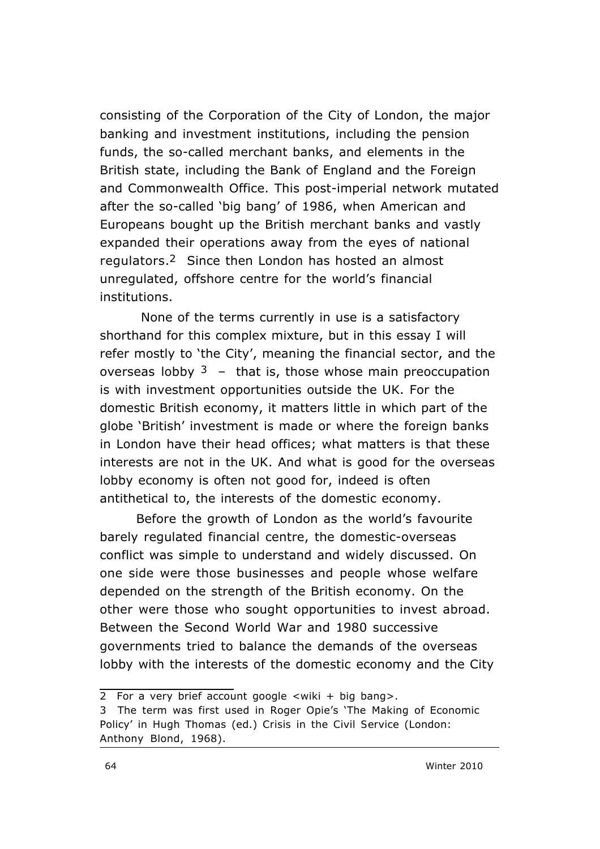consisting of the Corporation of the City of London, the major banking and investment institutions, including the pension funds, the so-called merchant banks, and elements in the British state, including the Bank of England and the Foreign and Commonwealth Office. This post-imperial network mutated after the so-called 'big bang' of 1986, when American and Europeans bought up the British merchant banks and vastly expanded their operations away from the eyes of national regulators.2 Since then London has hosted an almost unregulated, offshore centre for the world's financial institutions.

None of the terms currently in use is a satisfactory shorthand for this complex mixture, but in this essay I will refer mostly to 'the City', meaning the financial sector, and the overseas lobby  $3 -$  that is, those whose main preoccupation is with investment opportunities outside the UK. For the domestic British economy, it matters little in which part of the globe 'British' investment is made or where the foreign banks in London have their head offices; what matters is that these interests are not in the UK. And what is good for the overseas lobby economy is often not good for, indeed is often antithetical to, the interests of the domestic economy.

Before the growth of London as the world's favourite barely regulated financial centre, the domestic-overseas conflict was simple to understand and widely discussed. On one side were those businesses and people whose welfare depended on the strength of the British economy. On the other were those who sought opportunities to invest abroad. Between the Second World War and 1980 successive governments tried to balance the demands of the overseas lobby with the interests of the domestic economy and the City

<sup>2</sup> For a very brief account google <wiki + big bang>.

<sup>3</sup> The term was first used in Roger Opie's 'The Making of Economic Policy' in Hugh Thomas (ed.) *Crisis in the Civil Service* (London: Anthony Blond, 1968).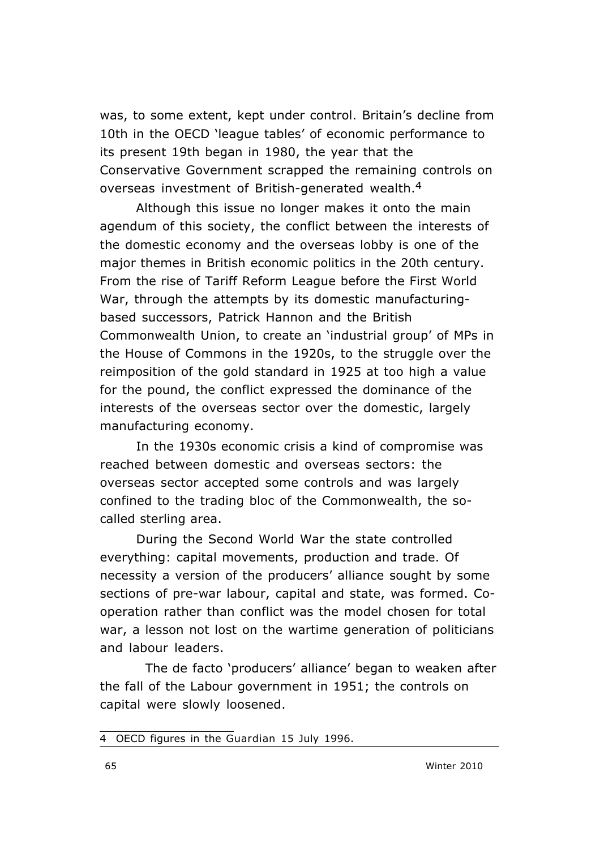was, to some extent, kept under control. Britain's decline from 10th in the OECD 'league tables' of economic performance to its present 19th began in 1980, the year that the Conservative Government scrapped the remaining controls on overseas investment of British-generated wealth.4

Although this issue no longer makes it onto the main agendum of this society, the conflict between the interests of the domestic economy and the overseas lobby is one of the major themes in British economic politics in the 20th century. From the rise of Tariff Reform League before the First World War, through the attempts by its domestic manufacturingbased successors, Patrick Hannon and the British Commonwealth Union, to create an 'industrial group' of MPs in the House of Commons in the 1920s, to the struggle over the reimposition of the gold standard in 1925 at too high a value for the pound, the conflict expressed the dominance of the interests of the overseas sector over the domestic, largely manufacturing economy.

In the 1930s economic crisis a kind of compromise was reached between domestic and overseas sectors: the overseas sector accepted some controls and was largely confined to the trading bloc of the Commonwealth, the socalled sterling area.

During the Second World War the state controlled everything: capital movements, production and trade. Of necessity a version of the producers' alliance sought by some sections of pre-war labour, capital and state, was formed. Cooperation rather than conflict was the model chosen for total war, a lesson not lost on the wartime generation of politicians and labour leaders.

 The *de facto* 'producers' alliance' began to weaken after the fall of the Labour government in 1951; the controls on capital were slowly loosened.

<sup>4</sup> OECD figures in the *Guardian* 15 July 1996.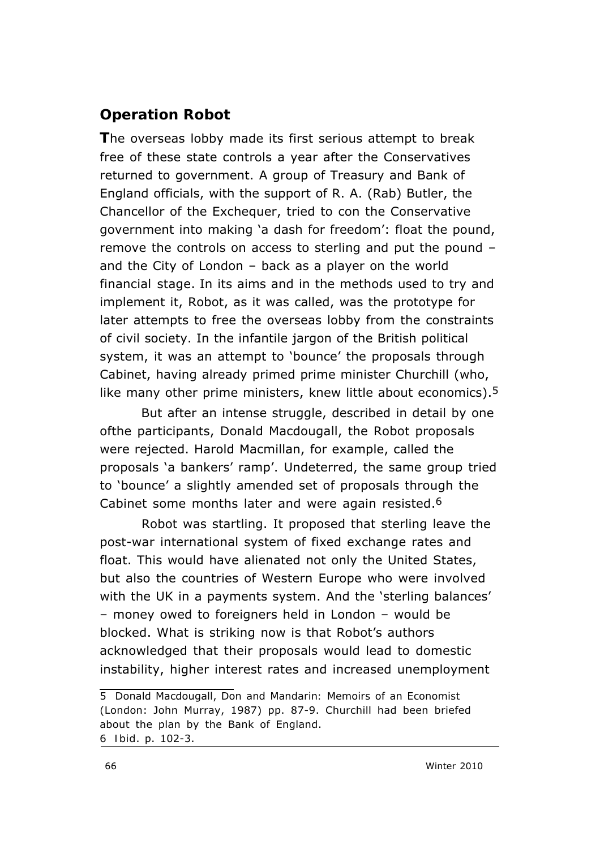# **Operation Robot**

**T**he overseas lobby made its first serious attempt to break free of these state controls a year after the Conservatives returned to government. A group of Treasury and Bank of England officials, with the support of R. A. (Rab) Butler, the Chancellor of the Exchequer, tried to con the Conservative government into making 'a dash for freedom': float the pound, remove the controls on access to sterling and put the pound – and the City of London – back as a player on the world financial stage. In its aims and in the methods used to try and implement it, Robot, as it was called, was the prototype for later attempts to free the overseas lobby from the constraints of civil society. In the infantile jargon of the British political system, it was an attempt to 'bounce' the proposals through Cabinet, having already primed prime minister Churchill (who, like many other prime ministers, knew little about economics).<sup>5</sup>

But after an intense struggle, described in detail by one ofthe participants, Donald Macdougall, the Robot proposals were rejected. Harold Macmillan, for example, called the proposals 'a bankers' ramp'. Undeterred, the same group tried to 'bounce' a slightly amended set of proposals through the Cabinet some months later and were again resisted.6

Robot was startling. It proposed that sterling leave the post-war international system of fixed exchange rates and float. This would have alienated not only the United States, but also the countries of Western Europe who were involved with the UK in a payments system. And the 'sterling balances' – money owed to foreigners held in London – would be blocked. What is striking now is that Robot's authors acknowledged that their proposals would lead to domestic instability, higher interest rates and increased unemployment

<sup>5</sup> Donald Macdougall, *Don and Mandarin: Memoirs of an Economist* (London: John Murray, 1987) pp. 87-9. Churchill had been briefed about the plan by the Bank of England. 6 *Ibid*. p. 102-3.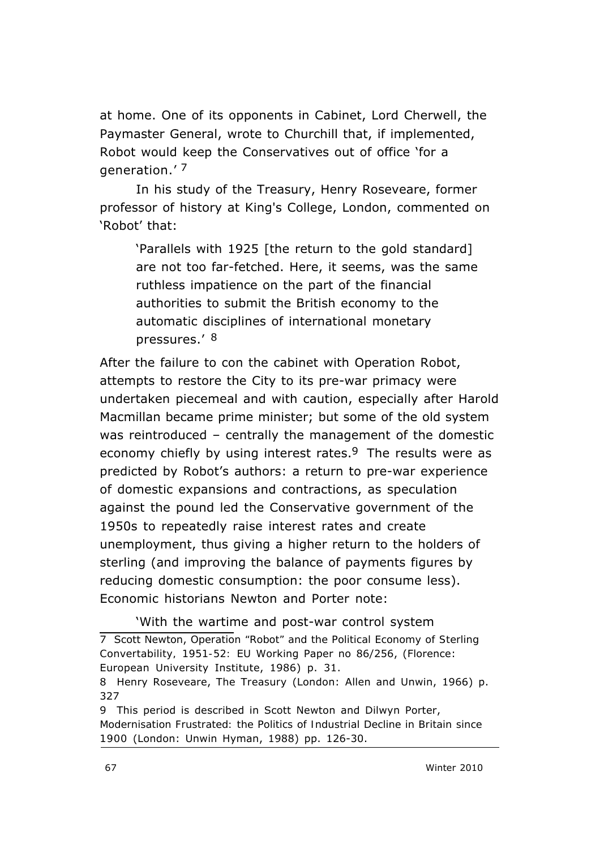at home. One of its opponents in Cabinet, Lord Cherwell, the Paymaster General, wrote to Churchill that, if implemented, Robot would keep the Conservatives out of office 'for a generation.' 7

In his study of the Treasury, Henry Roseveare, former professor of history at King's College, London, commented on 'Robot' that:

'Parallels with 1925 [the return to the gold standard] are not too far-fetched. Here, it seems, was the same ruthless impatience on the part of the financial authorities to submit the British economy to the automatic disciplines of international monetary pressures.' 8

After the failure to con the cabinet with Operation Robot, attempts to restore the City to its pre-war primacy were undertaken piecemeal and with caution, especially after Harold Macmillan became prime minister; but some of the old system was reintroduced – centrally the management of the domestic economy chiefly by using interest rates.<sup>9</sup> The results were as predicted by Robot's authors: a return to pre-war experience of domestic expansions and contractions, as speculation against the pound led the Conservative government of the 1950s to repeatedly raise interest rates and create unemployment, thus giving a higher return to the holders of sterling (and improving the balance of payments figures by reducing domestic consumption: the poor consume less). Economic historians Newton and Porter note:

'With the wartime and post-war control system 7 Scott Newton, *Operation "Robot" and the Political Economy of Sterling Convertability, 1951-52:* EU Working Paper no 86/256, (Florence: European University Institute, 1986) p. 31.

<sup>8</sup> Henry Roseveare, *The Treasury* (London: Allen and Unwin, 1966) p. 327

<sup>9</sup> This period is described in Scott Newton and Dilwyn Porter, *Modernisation Frustrated: the Politics of Industrial Decline in Britain since 1900* (London: Unwin Hyman, 1988) pp. 126-30.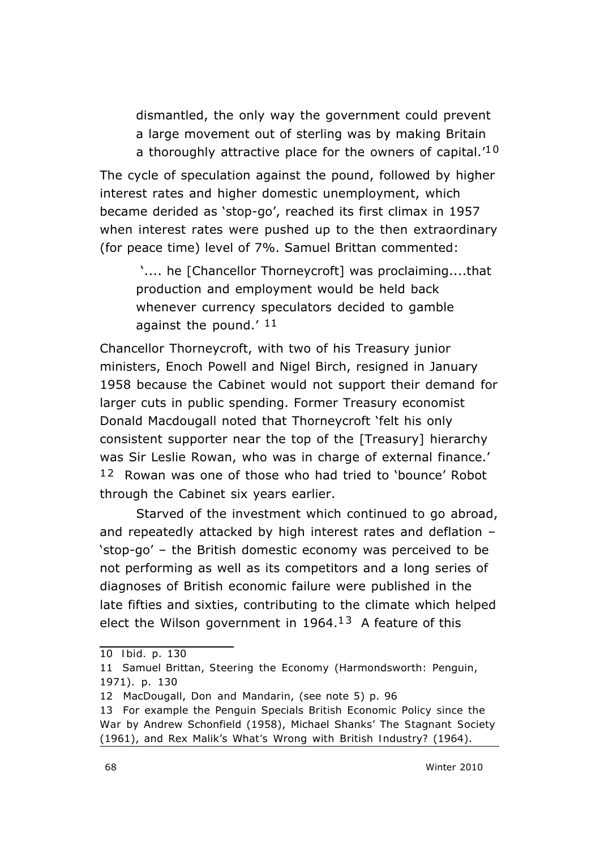dismantled, the only way the government could prevent a large movement out of sterling was by making Britain a thoroughly attractive place for the owners of capital.<sup>'10</sup>

The cycle of speculation against the pound, followed by higher interest rates and higher domestic unemployment, which became derided as 'stop-go', reached its first climax in 1957 when interest rates were pushed up to the then extraordinary (for peace time) level of 7%. Samuel Brittan commented:

'.... he [Chancellor Thorneycroft] was proclaiming....that production and employment would be held back whenever currency speculators decided to gamble against the pound.' 11

Chancellor Thorneycroft, with two of his Treasury junior ministers, Enoch Powell and Nigel Birch, resigned in January 1958 because the Cabinet would not support their demand for larger cuts in public spending. Former Treasury economist Donald Macdougall noted that Thorneycroft 'felt his only consistent supporter near the top of the [Treasury] hierarchy was Sir Leslie Rowan, who was in charge of external finance.' 1 2 Rowan was one of those who had tried to 'bounce' Robot through the Cabinet six years earlier.

Starved of the investment which continued to go abroad, and repeatedly attacked by high interest rates and deflation – 'stop-go' – the British domestic economy was perceived to be not performing as well as its competitors and a long series of diagnoses of British economic failure were published in the late fifties and sixties, contributing to the climate which helped elect the Wilson government in  $1964<sup>13</sup>$  A feature of this

<sup>10</sup> *Ibid.* p. 130

<sup>11</sup> Samuel Brittan, *Steering the Economy* (Harmondsworth: Penguin, 1971). p. 130

<sup>12</sup> MacDougall, *Don and Mandarin*, (see note 5) p. 96

<sup>13</sup> For example the Penguin Specials *British Economic Policy since the War* by Andrew Schonfield (1958), Michael Shanks' *The Stagnant Society* (1961), and Rex Malik's *What's Wrong with British Industry?* (1964).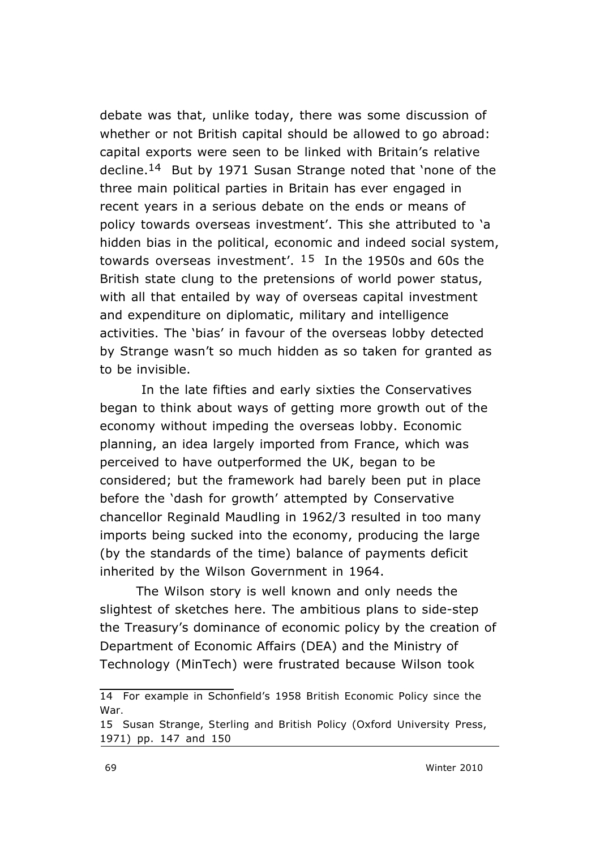debate was that, unlike today, there was some discussion of whether or not British capital should be *allowed* to go abroad: capital exports were seen to be linked with Britain's relative decline.14 But by 1971 Susan Strange noted that 'none of the three main political parties in Britain has ever engaged in recent years in a serious debate on the ends or means of policy towards overseas investment'. This she attributed to 'a hidden bias in the political, economic and indeed social system, towards overseas investment'.  $15$  In the 1950s and 60s the British state clung to the pretensions of world power status, with all that entailed by way of overseas capital investment and expenditure on diplomatic, military and intelligence activities. The 'bias' in favour of the overseas lobby detected by Strange wasn't so much hidden as so taken for granted as to be invisible.

In the late fifties and early sixties the Conservatives began to think about ways of getting more growth out of the economy without impeding the overseas lobby. Economic planning, an idea largely imported from France, which was perceived to have outperformed the UK, began to be considered; but the framework had barely been put in place before the 'dash for growth' attempted by Conservative chancellor Reginald Maudling in 1962/3 resulted in too many imports being sucked into the economy, producing the large (by the standards of the time) balance of payments deficit inherited by the Wilson Government in 1964.

The Wilson story is well known and only needs the slightest of sketches here. The ambitious plans to side-step the Treasury's dominance of economic policy by the creation of Department of Economic Affairs (DEA) and the Ministry of Technology (MinTech) were frustrated because Wilson took

<sup>14</sup> For example in Schonfield's 1958 *British Economic Policy since the War.*

<sup>15</sup> Susan Strange, *Sterling and British Policy* (Oxford University Press, 1971) pp. 147 and 150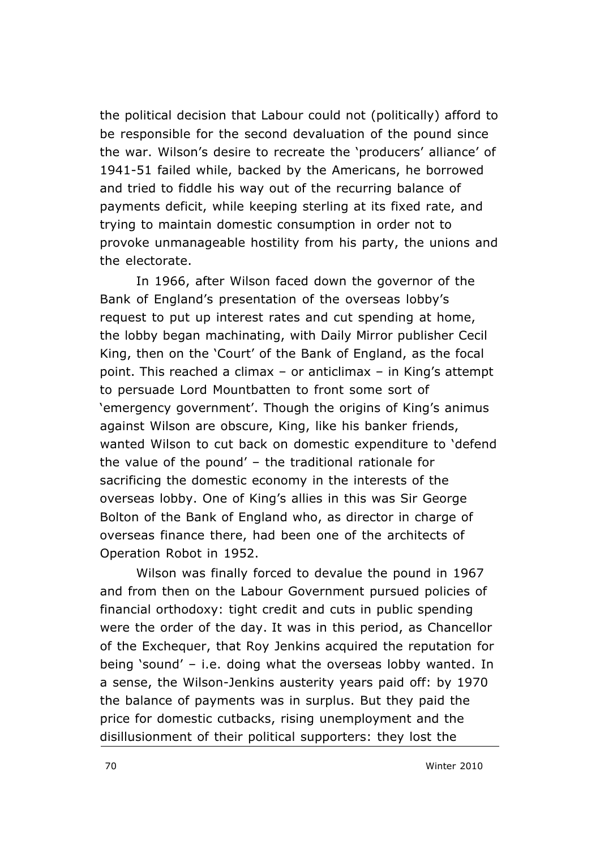the political decision that Labour could not (politically) afford to be responsible for the second devaluation of the pound since the war. Wilson's desire to recreate the 'producers' alliance' of 1941-51 failed while, backed by the Americans, he borrowed and tried to fiddle his way out of the recurring balance of payments deficit, while keeping sterling at its fixed rate, and trying to maintain domestic consumption in order not to provoke unmanageable hostility from his party, the unions and the electorate.

In 1966, after Wilson faced down the governor of the Bank of England's presentation of the overseas lobby's request to put up interest rates and cut spending at home, the lobby began machinating, with *Daily Mirror* publisher Cecil King, then on the 'Court' of the Bank of England, as the focal point. This reached a climax – or anticlimax – in King's attempt to persuade Lord Mountbatten to front some sort of 'emergency government'. Though the origins of King's animus against Wilson are obscure, King, like his banker friends, wanted Wilson to cut back on domestic expenditure to 'defend the value of the pound' – the traditional rationale for sacrificing the domestic economy in the interests of the overseas lobby. One of King's allies in this was Sir George Bolton of the Bank of England who, as director in charge of overseas finance there, had been one of the architects of Operation Robot in 1952.

Wilson was finally forced to devalue the pound in 1967 and from then on the Labour Government pursued policies of financial orthodoxy: tight credit and cuts in public spending were the order of the day. It was in this period, as Chancellor of the Exchequer, that Roy Jenkins acquired the reputation for being 'sound' – i.e. doing what the overseas lobby wanted. In a sense, the Wilson-Jenkins austerity years paid off: by 1970 the balance of payments was in surplus. But they paid the price for domestic cutbacks, rising unemployment and the disillusionment of their political supporters: they lost the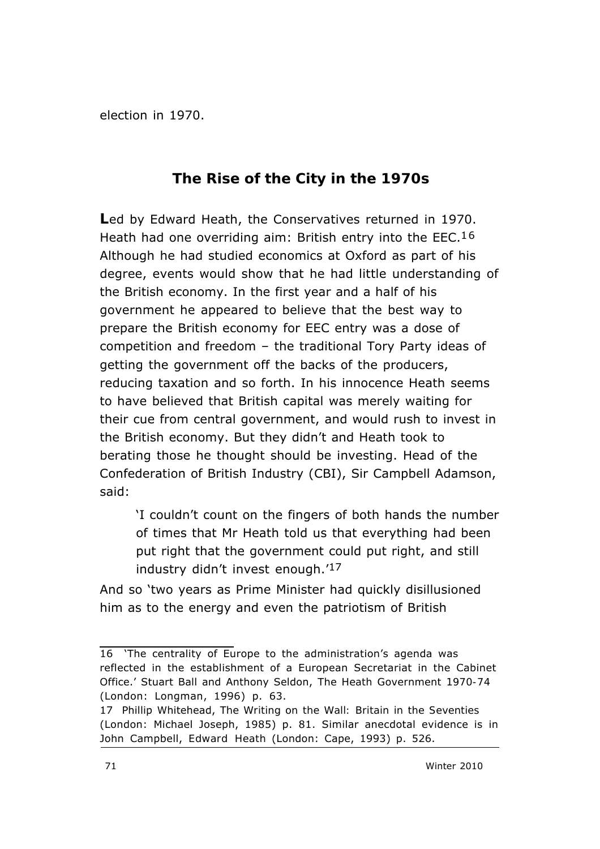election in 1970.

### **The Rise of the City in the 1970s**

**L**ed by Edward Heath, the Conservatives returned in 1970. Heath had one overriding aim: British entry into the EEC.<sup>16</sup> Although he had studied economics at Oxford as part of his degree, events would show that he had little understanding of the British economy. In the first year and a half of his government he appeared to believe that the best way to prepare the British economy for EEC entry was a dose of competition and freedom – the traditional Tory Party ideas of getting the government off the backs of the producers, reducing taxation and so forth. In his innocence Heath seems to have believed that British capital was merely waiting for their cue from central government, and would rush to invest in the British economy. But they didn't and Heath took to berating those he thought should be investing. Head of the Confederation of British Industry (CBI), Sir Campbell Adamson, said:

'I couldn't count on the fingers of both hands the number of times that Mr Heath told us that everything had been put right that the government could put right, and still industry didn't invest enough.'17

And so 'two years as Prime Minister had quickly disillusioned him as to the energy and even the patriotism of British

<sup>16 &#</sup>x27;The centrality of Europe to the administration's agenda was reflected in the establishment of a European Secretariat in the Cabinet Office.' Stuart Ball and Anthony Seldon, *The Heath Government 1970-74* (London: Longman, 1996) p. 63.

<sup>17</sup> Phillip Whitehead, *The Writing on the Wall: Britain in the Seventies* (London: Michael Joseph, 1985) p. 81. Similar anecdotal evidence is in John Campbell, *Edward Heath* (London: Cape, 1993) p. 526.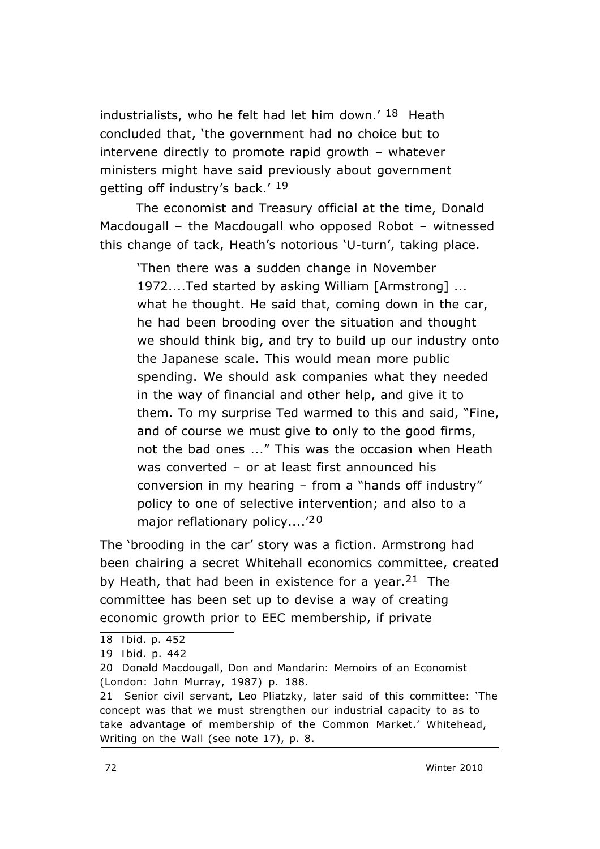industrialists, who he felt had let him down.'  $18$  Heath concluded that, 'the government had no choice but to intervene directly to promote rapid growth – whatever ministers might have said previously about government getting off industry's back.' 19

The economist and Treasury official at the time, Donald Macdougall – the Macdougall who opposed Robot – witnessed this change of tack, Heath's notorious 'U-turn', taking place.

'Then there was a sudden change in November 1972....Ted started by asking William [Armstrong] ... what he thought. He said that, coming down in the car, he had been brooding over the situation and thought we should think big, and try to build up our industry onto the Japanese scale. This would mean more public spending. We should ask companies what they needed in the way of financial and other help, and give it to them. To my surprise Ted warmed to this and said, "Fine, and of course we must give to only to the good firms, not the bad ones ..." This was the occasion when Heath was converted – or at least first announced his conversion in my hearing – from a "hands off industry" policy to one of selective intervention; and also to a major reflationary policy....<sup>'20</sup>

The 'brooding in the car' story was a fiction. Armstrong had been chairing a secret Whitehall economics committee, created by Heath, that had been in existence for a year. <sup>21</sup> The committee has been set up to devise a way of creating economic growth prior to EEC membership, if private

<sup>18</sup> *Ibid*. p. 452

<sup>19</sup> *Ibid*. p. 442

<sup>20</sup> Donald Macdougall, *Don and Mandarin: Memoirs of an Economist* (London: John Murray, 1987) p. 188.

<sup>21</sup> Senior civil servant, Leo Pliatzky, later said of this committee: 'The concept was that we must strengthen our industrial capacity to as to take advantage of membership of the Common Market.' Whitehead, *Writing on the Wall* (see note 17), p. 8.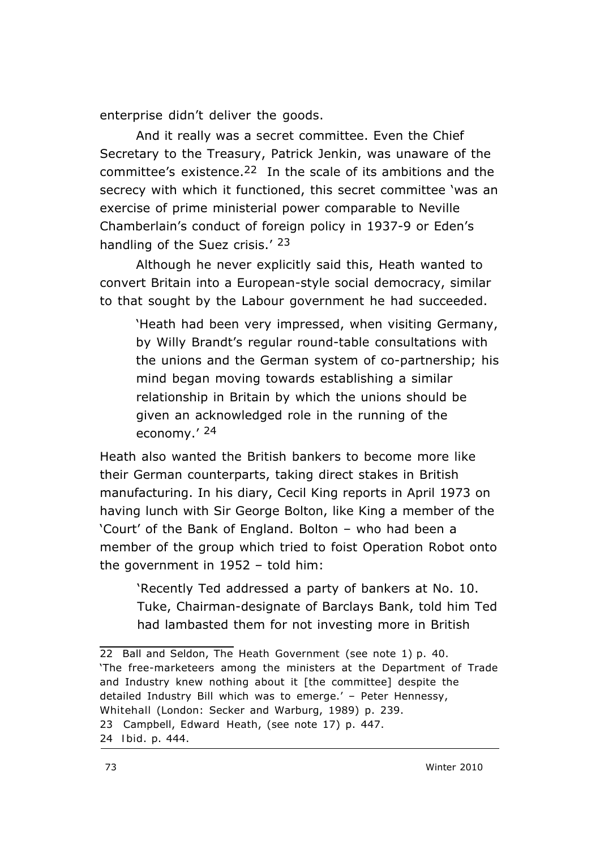enterprise didn't deliver the goods.

 And it really was a *secret* committee. Even the Chief Secretary to the Treasury, Patrick Jenkin, was unaware of the committee's existence.22 In the scale of its ambitions and the secrecy with which it functioned, this secret committee 'was an exercise of prime ministerial power comparable to Neville Chamberlain's conduct of foreign policy in 1937-9 or Eden's handling of the Suez crisis.' 23

Although he never explicitly said this, Heath wanted to convert Britain into a European-style social democracy, similar to that sought by the Labour government he had succeeded.

'Heath had been very impressed, when visiting Germany, by Willy Brandt's regular round-table consultations with the unions and the German system of co-partnership; his mind began moving towards establishing a similar relationship in Britain by which the unions should be given an acknowledged role in the running of the economy.' 24

Heath also wanted the British bankers to become more like their German counterparts, taking direct stakes in British manufacturing. In his diary, Cecil King reports in April 1973 on having lunch with Sir George Bolton, like King a member of the 'Court' of the Bank of England. Bolton – who had been a member of the group which tried to foist Operation Robot onto the government in 1952 – told him:

'Recently Ted addressed a party of bankers at No. 10. Tuke, Chairman-designate of Barclays Bank, told him Ted had lambasted them for not investing more in British

<sup>22</sup> Ball and Seldon, *The Heath Government* (see note 1) p. 40. 'The free-marketeers among the ministers at the Department of Trade and Industry knew nothing about it [the committee] despite the detailed Industry Bill which was to emerge.' – Peter Hennessy, *Whitehall* (London: Secker and Warburg, 1989) p. 239. 23 Campbell, *Edward Heath*, (see note 17) p. 447. 24 *Ibid*. p. 444.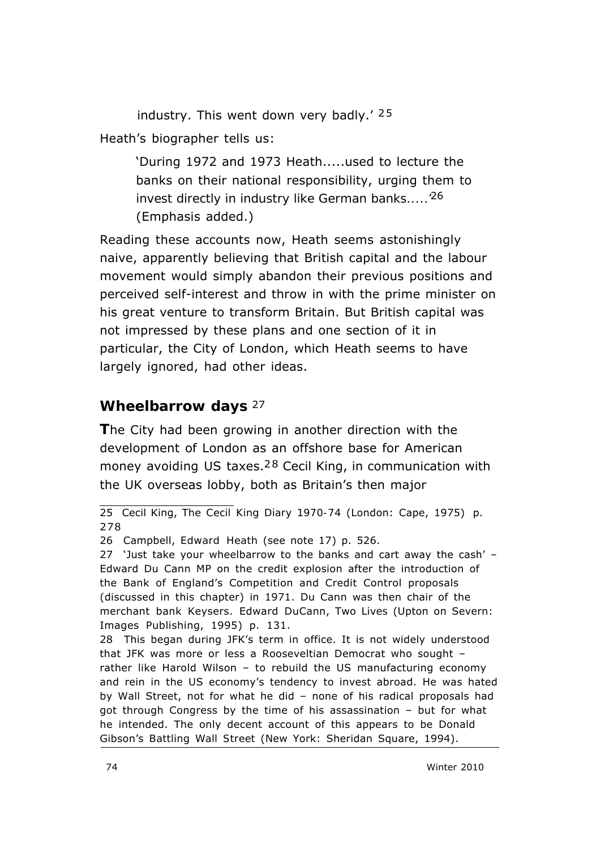industry. This went down very badly.'  $25$ Heath's biographer tells us:

> 'During 1972 and 1973 Heath.....used to lecture the banks on their national responsibility, urging them to *invest directly in industry like German banks.....'*26 (Emphasis added.)

Reading these accounts now, Heath seems astonishingly naive, apparently believing that British capital and the labour movement would simply abandon their previous positions and perceived self-interest and throw in with the prime minister on his great venture to transform Britain. But British capital was not impressed by these plans and one section of it in particular, the City of London, which Heath seems to have largely ignored, had other ideas.

#### **Wheelbarrow days** 27

**T**he City had been growing in another direction with the development of London as an offshore base for American money avoiding US taxes.<sup>28</sup> Cecil King, in communication with the UK overseas lobby, both as Britain's then major

<sup>25</sup> Cecil King, *The Cecil King Diary 1970-74* (London: Cape, 1975) p. 278

<sup>26</sup> Campbell, *Edward Heath* (see note 17) p. 526.

<sup>27 &#</sup>x27;Just take your wheelbarrow to the banks and cart away the cash' – Edward Du Cann MP on the credit explosion after the introduction of the Bank of England's Competition and Credit Control proposals (discussed in this chapter) in 1971. Du Cann was then chair of the merchant bank Keysers. Edward DuCann, *Two Lives* (Upton on Severn: Images Publishing, 1995) p. 131.

<sup>28</sup> This began during JFK's term in office. It is not widely understood that JFK was more or less a Rooseveltian Democrat who sought – rather like Harold Wilson – to rebuild the US manufacturing economy and rein in the US economy's tendency to invest abroad. He was hated by Wall Street, not for what he did – none of his radical proposals had got through Congress by the time of his assassination – but for what he intended. The only decent account of this appears to be Donald Gibson's *Battling Wall Street* (New York: Sheridan Square, 1994).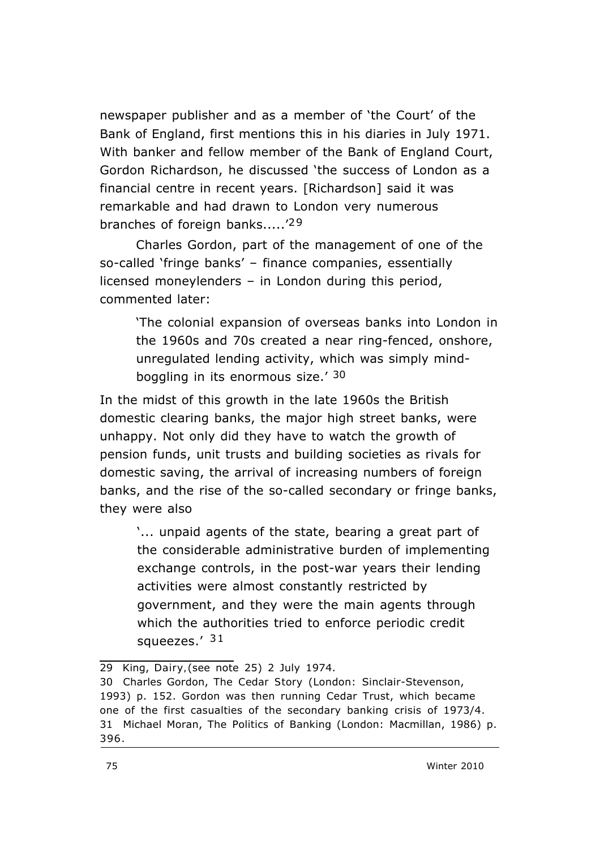newspaper publisher and as a member of 'the Court' of the Bank of England, first mentions this in his diaries in July 1971. With banker and fellow member of the Bank of England Court, Gordon Richardson, he discussed 'the success of London as a financial centre in recent years. [Richardson] said it was remarkable and had drawn to London very numerous branches of foreign banks.....<sup>'29</sup>

Charles Gordon, part of the management of one of the so-called 'fringe banks' – finance companies, essentially licensed moneylenders – in London during this period, commented later:

'The colonial expansion of overseas banks into London in the 1960s and 70s created a near ring-fenced, onshore, unregulated lending activity, which was simply mindboggling in its enormous size.' 30

In the midst of this growth in the late 1960s the British domestic clearing banks, the major high street banks, were unhappy. Not only did they have to watch the growth of pension funds, unit trusts and building societies as rivals for domestic saving, the arrival of increasing numbers of foreign banks, and the rise of the so-called secondary or fringe banks, they were also

'... unpaid agents of the state, bearing a great part of the considerable administrative burden of implementing exchange controls, in the post-war years their lending activities were almost constantly restricted by government, and they were the main agents through which the authorities tried to enforce periodic credit squeezes.' 31

<sup>29</sup> King, *Dairy,*(see note 25) 2 July 1974.

<sup>30</sup> Charles Gordon, *The Cedar Story* (London: Sinclair-Stevenson, 1993) p. 152. Gordon was then running Cedar Trust, which became one of the first casualties of the secondary banking crisis of 1973/4. 31 Michael Moran, *The Politics of Banking* (London: Macmillan, 1986) p. 396.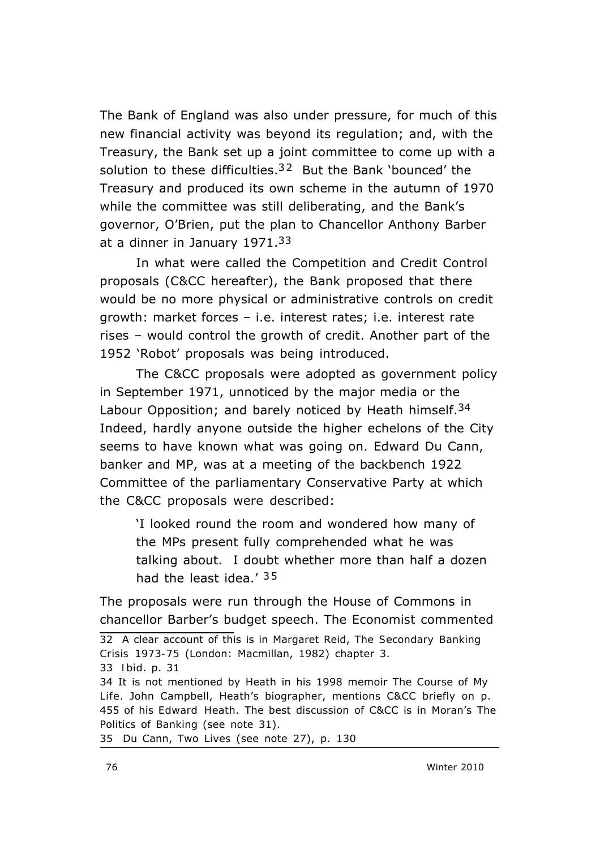The Bank of England was also under pressure, for much of this new financial activity was beyond its regulation; and, with the Treasury, the Bank set up a joint committee to come up with a solution to these difficulties.<sup>32</sup> But the Bank 'bounced' the Treasury and produced its own scheme in the autumn of 1970 while the committee was still deliberating, and the Bank's governor, O'Brien, put the plan to Chancellor Anthony Barber at a dinner in January 1971.33

In what were called the Competition and Credit Control proposals (C&CC hereafter), the Bank proposed that there would be no more physical or administrative controls on credit growth: market forces – i.e. interest rates; i.e. *interest rate rises* – would control the growth of credit. Another part of the 1952 'Robot' proposals was being introduced.

The C&CC proposals were adopted as government policy in September 1971, unnoticed by the major media or the Labour Opposition; and barely noticed by Heath himself.<sup>34</sup> Indeed, hardly anyone outside the higher echelons of the City seems to have known what was going on. Edward Du Cann, banker and MP, was at a meeting of the backbench 1922 Committee of the parliamentary Conservative Party at which the C&CC proposals were described:

'I looked round the room and wondered how many of the MPs present fully comprehended what he was talking about. I doubt whether more than half a dozen had the least idea.' 35

The proposals were run through the House of Commons in chancellor Barber's budget speech. The *Economist* commented

35 Du Cann, *Two Lives* (see note 27), p. 130

<sup>32</sup> A clear account of this is in Margaret Reid, *The Secondary Banking Crisis 1973-75* (London: Macmillan, 1982) chapter 3. 33 *Ibid*. p. 31

<sup>34</sup> It is not mentioned by Heath in his 1998 memoir *The Course of My Life*. John Campbell, Heath's biographer, mentions C&CC briefly on p. 455 of his *Edward Heath*. The best discussion of C&CC is in Moran's *The Politics of Banking* (see note 31).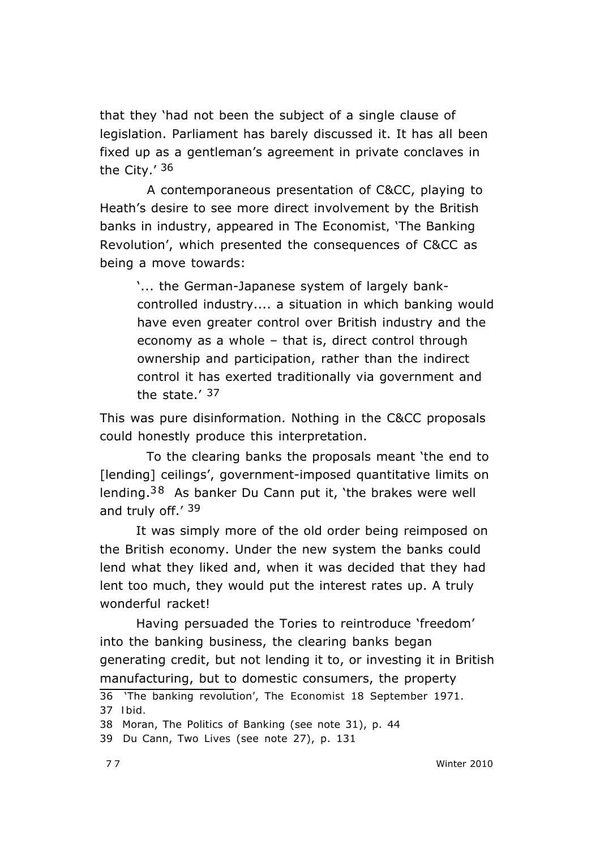that they 'had not been the subject of a single clause of legislation. Parliament has barely discussed it. It has all been fixed up as a gentleman's agreement in private conclaves in the City.' 36

 A contemporaneous presentation of C&CC, playing to Heath's desire to see more direct involvement by the British banks in industry, appeared in *The Economist,* 'The Banking Revolution', which presented the consequences of C&CC as being a move towards:

'... the German-Japanese system of largely bankcontrolled industry.... a situation in which banking would have even greater control over British industry and the economy as a whole – that is, direct control through ownership and participation, rather than the indirect control it has exerted traditionally via government and the state.' 37

This was pure disinformation. Nothing in the C&CC proposals could honestly produce this interpretation.

 To the clearing banks the proposals meant 'the end to [lending] ceilings', government-imposed quantitative limits on lending.<sup>38</sup> As banker Du Cann put it, 'the brakes were well and truly off.' 39

It was simply more of the old order being reimposed on the British economy. Under the new system the banks could lend what they liked and, when it was decided that they had lent too much, they would put the interest rates up. A truly wonderful racket!

Having persuaded the Tories to reintroduce 'freedom' into the banking business, the clearing banks began generating credit, but *not* lending it to, or investing it in British manufacturing, but to domestic consumers, the property

<sup>36 &#</sup>x27;The banking revolution', The *Economist* 18 September 1971. 37 *Ibid.*

<sup>38</sup> Moran, *The Politics of Banking* (see note 31), p. 44

<sup>39</sup> Du Cann, *Two Lives* (see note 27), p. 131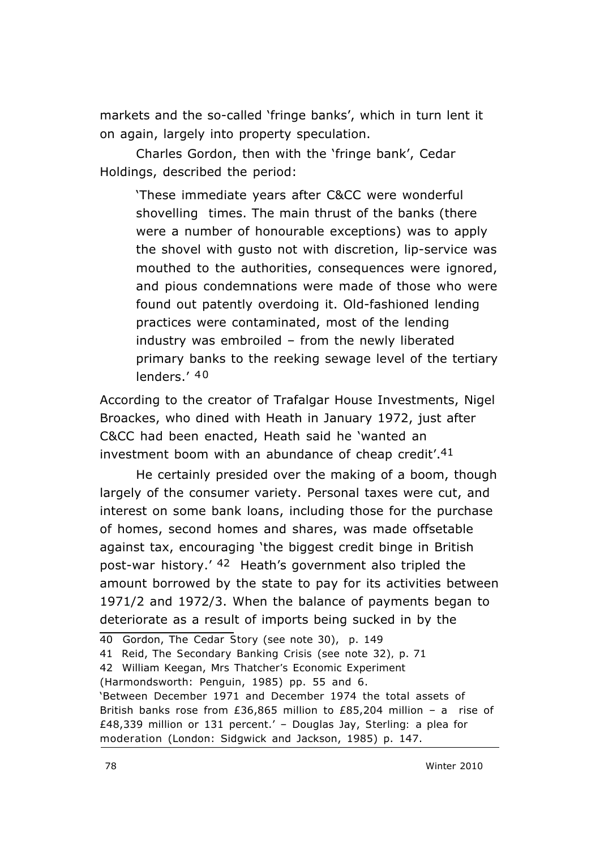markets and the so-called 'fringe banks', which in turn lent it on again, largely into property speculation.

Charles Gordon, then with the 'fringe bank', Cedar Holdings, described the period:

'These immediate years after C&CC were wonderful shovelling times. The main thrust of the banks (there were a number of honourable exceptions) was to apply the shovel with gusto not with discretion, lip-service was mouthed to the authorities, consequences were ignored, and pious condemnations were made of those who were found out patently overdoing it. Old-fashioned lending practices were contaminated, most of the lending industry was embroiled – from the newly liberated primary banks to the reeking sewage level of the tertiary lenders.' 40

According to the creator of Trafalgar House Investments, Nigel Broackes, who dined with Heath in January 1972, just after C&CC had been enacted, Heath said he 'wanted an investment boom with an abundance of cheap credit'.41

He certainly presided over the making of a boom, though largely of the consumer variety. Personal taxes were cut, and interest on some bank loans, including those for the purchase of homes, second homes and shares, was made offsetable against tax, encouraging 'the biggest credit binge in British post-war history.' 42 Heath's government also tripled the amount borrowed by the state to pay for its activities between 1971/2 and 1972/3. When the balance of payments began to deteriorate as a result of imports being sucked in by the

42 William Keegan, *Mrs Thatcher's Economic Experiment*

(Harmondsworth: Penguin, 1985) pp. 55 and 6.

'Between December 1971 and December 1974 the total assets of British banks rose from £36,865 million to £85,204 million – a rise of £48,339 million or 131 percent.' – Douglas Jay, *Sterling: a plea for moderation* (London: Sidgwick and Jackson, 1985) p. 147.

<sup>40</sup> Gordon, *The Cedar Story* (see note 30), p. 149

<sup>41</sup> Reid, *The Secondary Banking Crisis* (see note 32)*,* p. 71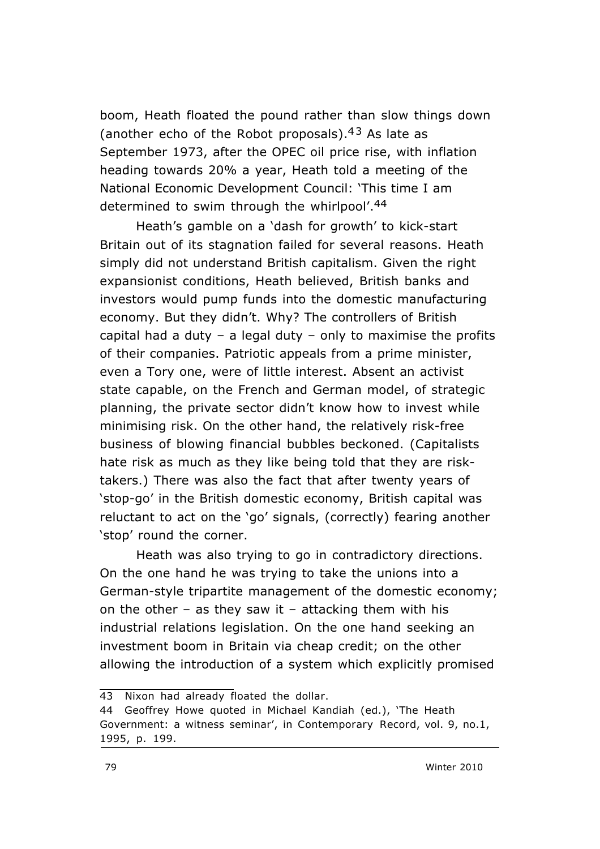boom, Heath floated the pound rather than slow things down (another echo of the Robot proposals).  $43$  As late as September 1973, after the OPEC oil price rise, with inflation heading towards 20% a year, Heath told a meeting of the National Economic Development Council: 'This time I am determined to swim through the whirlpool'.44

Heath's gamble on a 'dash for growth' to kick-start Britain out of its stagnation failed for several reasons. Heath simply did not understand British capitalism. Given the right expansionist conditions, Heath believed, British banks and investors would pump funds into the domestic manufacturing economy. But they didn't. Why? The controllers of British capital had a duty – a legal duty – only to maximise the profits of their companies. Patriotic appeals from a prime minister, even a Tory one, were of little interest. Absent an activist state capable, on the French and German model, of strategic planning, the private sector didn't know how to invest while minimising risk. On the other hand, the relatively risk-free business of blowing financial bubbles beckoned. (Capitalists hate risk as much as they like being told that they are risktakers.) There was also the fact that after twenty years of 'stop-go' in the British domestic economy, British capital was reluctant to act on the 'go' signals, (correctly) fearing another 'stop' round the corner.

Heath was also trying to go in contradictory directions. On the one hand he was trying to take the unions into a German-style tripartite management of the domestic economy; on the other – as they saw it – attacking them with his industrial relations legislation. On the one hand seeking an investment boom in Britain via cheap credit; on the other allowing the introduction of a system which explicitly promised

<sup>43</sup> Nixon had already floated the dollar.

<sup>44</sup> Geoffrey Howe quoted in Michael Kandiah (ed.), 'The Heath Government: a witness seminar', in *Contemporary Record*, vol. 9, no.1, 1995, p. 199.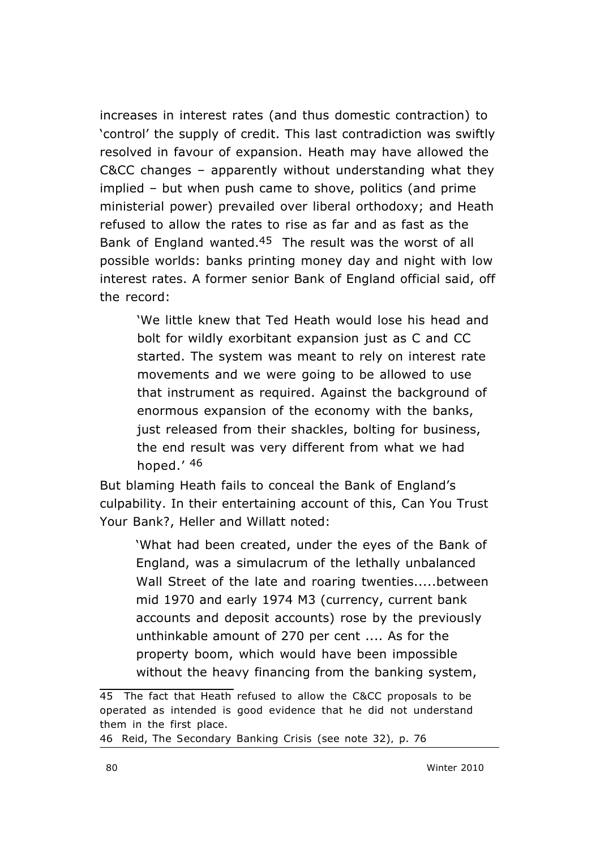increases in interest rates (and thus domestic contraction) to 'control' the supply of credit. This last contradiction was swiftly resolved in favour of expansion. Heath may have allowed the C&CC changes – apparently without understanding what they implied – but when push came to shove, politics (and prime ministerial power) prevailed over liberal orthodoxy; and Heath refused to allow the rates to rise as far and as fast as the Bank of England wanted.45 The result was the worst of all possible worlds: banks printing money day and night with low interest rates. A former senior Bank of England official said, off the record:

'We little knew that Ted Heath would lose his head and bolt for wildly exorbitant expansion just as C and CC started. The system was meant to rely on interest rate movements and we were going to be allowed to use that instrument as required. Against the background of enormous expansion of the economy with the banks, just released from their shackles, bolting for business, the end result was very different from what we had hoped.' 46

But blaming Heath fails to conceal the Bank of England's culpability. In their entertaining account of this, *Can You Trust Your Bank?*, Heller and Willatt noted:

'What had been created, under the eyes of the Bank of England, was a simulacrum of the lethally unbalanced Wall Street of the late and roaring twenties.....between mid 1970 and early 1974 M3 (currency, current bank accounts and deposit accounts) rose by the previously unthinkable amount of 270 per cent .... As for the property boom, which would have been impossible without the heavy financing from the banking system,

46 Reid, *The Secondary Banking Crisis* (see note 32)*,* p. 76

<sup>45</sup> The fact that Heath refused to allow the C&CC proposals to be operated as intended is good evidence that he did not understand them in the first place.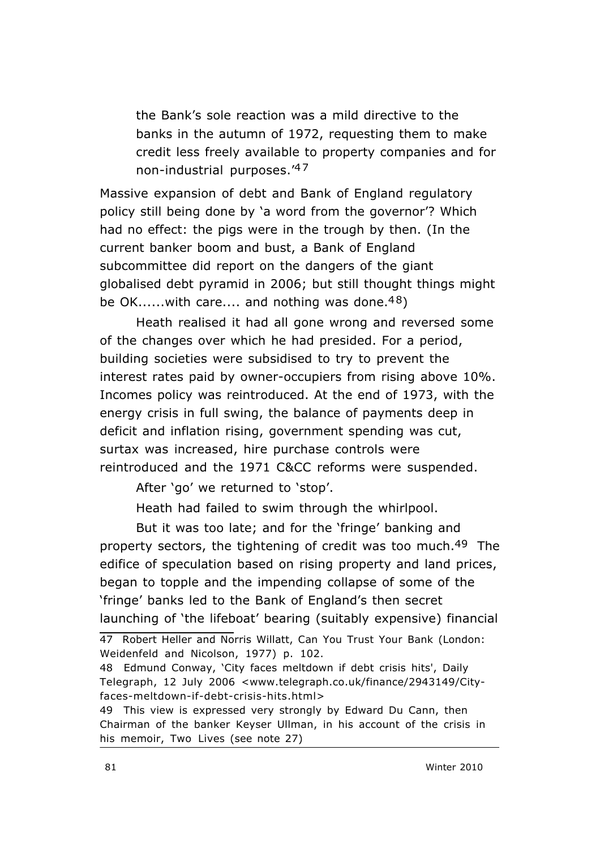the Bank's sole reaction was a mild directive to the banks in the autumn of 1972, requesting them to make credit less freely available to property companies and for non-industrial purposes.'4 7

Massive expansion of debt and Bank of England regulatory policy still being done by 'a word from the governor'? Which had no effect: the pigs were in the trough by then. (In the current banker boom and bust, a Bank of England subcommittee did report on the dangers of the giant globalised debt pyramid in 2006; but still thought things might be OK......with care.... and nothing was done.<sup>48</sup>)

Heath realised it had all gone wrong and reversed some of the changes over which he had presided. For a period, building societies were subsidised to try to prevent the interest rates paid by owner-occupiers from rising above 10%. Incomes policy was reintroduced. At the end of 1973, with the energy crisis in full swing, the balance of payments deep in deficit and inflation rising, government spending was cut, surtax was increased, hire purchase controls were reintroduced and the 1971 C&CC reforms were suspended.

After 'go' we returned to 'stop'.

Heath had failed to swim through the whirlpool.

But it was too late; and for the 'fringe' banking and property sectors, the tightening of credit was too much.<sup>49</sup> The edifice of speculation based on rising property and land prices, began to topple and the impending collapse of some of the 'fringe' banks led to the Bank of England's then secret launching of 'the lifeboat' bearing (suitably expensive) financial

47 Robert Heller and Norris Willatt, *Can You Trust Your Bank* (London: Weidenfeld and Nicolson, 1977) p. 102.

<sup>48</sup> Edmund Conway, 'City faces meltdown if debt crisis hits', *Daily Telegraph*, 12 July 2006 <www.telegraph.co.uk/finance/2943149/Cityfaces-meltdown-if-debt-crisis-hits.html>

<sup>49</sup> This view is expressed very strongly by Edward Du Cann, then Chairman of the banker Keyser Ullman, in his account of the crisis in his memoir, *Two Lives* (see note 27)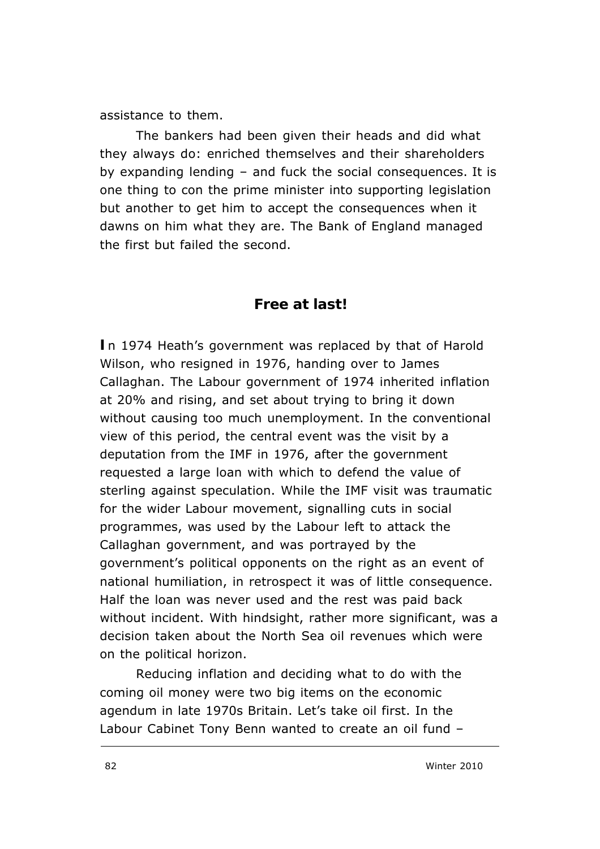assistance to them.

The bankers had been given their heads and did what they always do: enriched themselves and their shareholders by expanding lending – and fuck the social consequences. It is one thing to con the prime minister into supporting legislation but another to get him to accept the consequences when it dawns on him what they are. The Bank of England managed the first but failed the second.

#### **Free at last!**

**I**n 1974 Heath's government was replaced by that of Harold Wilson, who resigned in 1976, handing over to James Callaghan. The Labour government of 1974 inherited inflation at 20% and rising, and set about trying to bring it down without causing too much unemployment. In the conventional view of this period, the central event was the visit by a deputation from the IMF in 1976, after the government requested a large loan with which to defend the value of sterling against speculation. While the IMF visit was traumatic for the wider Labour movement, signalling cuts in social programmes, was used by the Labour left to attack the Callaghan government, and was portrayed by the government's political opponents on the right as an event of national humiliation, in retrospect it was of little consequence. Half the loan was never used and the rest was paid back without incident. With hindsight, rather more significant, was a decision taken about the North Sea oil revenues which were on the political horizon.

Reducing inflation and deciding what to do with the coming oil money were two big items on the economic agendum in late 1970s Britain. Let's take oil first. In the Labour Cabinet Tony Benn wanted to create an oil fund –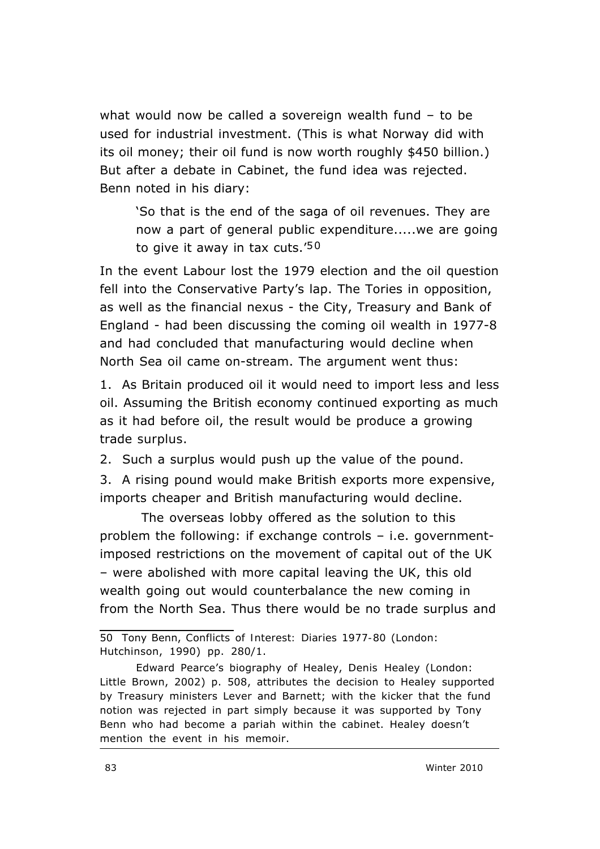what would now be called a sovereign wealth fund – to be used for industrial investment. (This is what Norway did with its oil money; their oil fund is now worth roughly \$450 *billion*.) But after a debate in Cabinet, the fund idea was rejected. Benn noted in his diary:

'So that is the end of the saga of oil revenues. They are now a part of general public expenditure.....we are going to give it away in tax cuts.' $50$ 

In the event Labour lost the 1979 election and the oil question fell into the Conservative Party's lap. The Tories in opposition, as well as the financial nexus - the City, Treasury and Bank of England - had been discussing the coming oil wealth in 1977-8 and had concluded that manufacturing would decline when North Sea oil came on-stream. The argument went thus:

1. As Britain produced oil it would need to import less and less oil. Assuming the British economy continued exporting as much as it had before oil, the result would be produce a growing trade *surplus*.

2. Such a surplus would push up the value of the pound.

3. A rising pound would make British exports more expensive, imports cheaper and British manufacturing would decline.

The overseas lobby offered as the solution to this problem the following: if exchange controls – i.e. governmentimposed restrictions on the movement of capital out of the UK – were abolished with more capital leaving the UK, this old wealth going out would counterbalance the new coming in from the North Sea. Thus there would be no trade surplus and

<sup>50</sup> Tony Benn, *Conflicts of Interest: Diaries 1977-80* (London: Hutchinson, 1990) pp. 280/1.

Edward Pearce's biography of Healey, *Denis Healey* (London: Little Brown, 2002) p. 508, attributes the decision to Healey supported by Treasury ministers Lever and Barnett; with the kicker that the fund notion was rejected in part simply because it was supported by Tony Benn who had become a pariah within the cabinet. Healey doesn't mention the event in his memoir.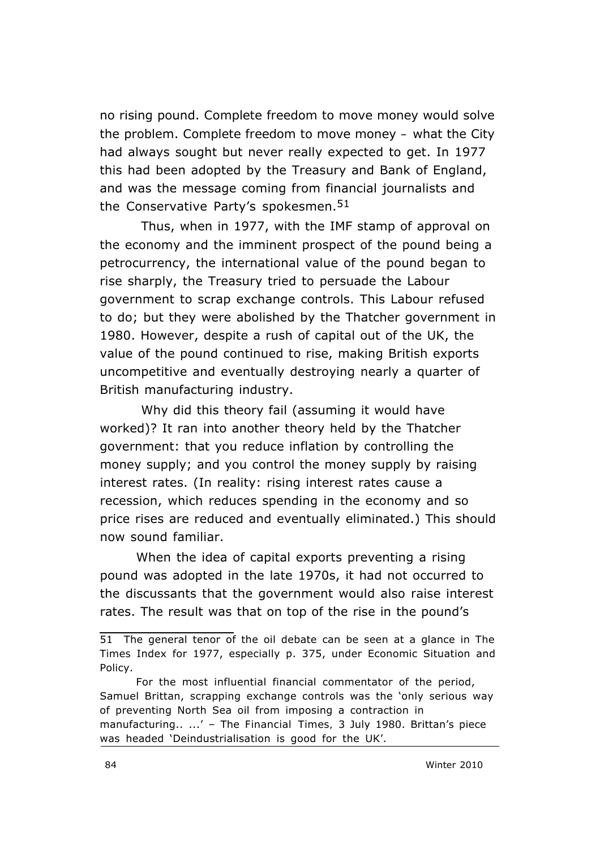no rising pound. *Complete freedom to move money* would solve the problem. *Complete freedom to move money –* what the City had always sought but never really expected to get. In 1977 this had been adopted by the Treasury and Bank of England, and was the message coming from financial journalists and the Conservative Party's spokesmen.<sup>51</sup>

 Thus, when in 1977, with the IMF stamp of approval on the economy and the imminent prospect of the pound being a petrocurrency, the international value of the pound began to rise sharply, the Treasury tried to persuade the Labour government to scrap exchange controls. This Labour refused to do; but they were abolished by the Thatcher government in 1980. However, despite a rush of capital out of the UK, the value of the pound continued to rise, making British exports uncompetitive and eventually destroying nearly a quarter of British manufacturing industry.

Why did this theory fail (assuming it would have worked)? It ran into another theory held by the Thatcher government: that you reduce inflation by controlling the money supply; and you control the money supply by raising interest rates. (In reality: rising interest rates cause a recession, which reduces spending in the economy and so price rises are reduced and eventually eliminated.) This should now sound familiar.

When the idea of capital exports preventing a rising pound was adopted in the late 1970s, it had not occurred to the discussants that the government would also *raise* interest rates. The result was that *on top of* the rise in the pound's

<sup>51</sup> The general tenor of the oil debate can be seen at a glance in *The Times* Index for 1977, especially p. 375, under Economic Situation and Policy.

For the most influential financial commentator of the period, Samuel Brittan, scrapping exchange controls was the 'only serious way of preventing North Sea oil from imposing a contraction in manufacturing.. ...' – The *Financial Times,* 3 July 1980. Brittan's piece was headed 'Deindustrialisation is good for the UK'.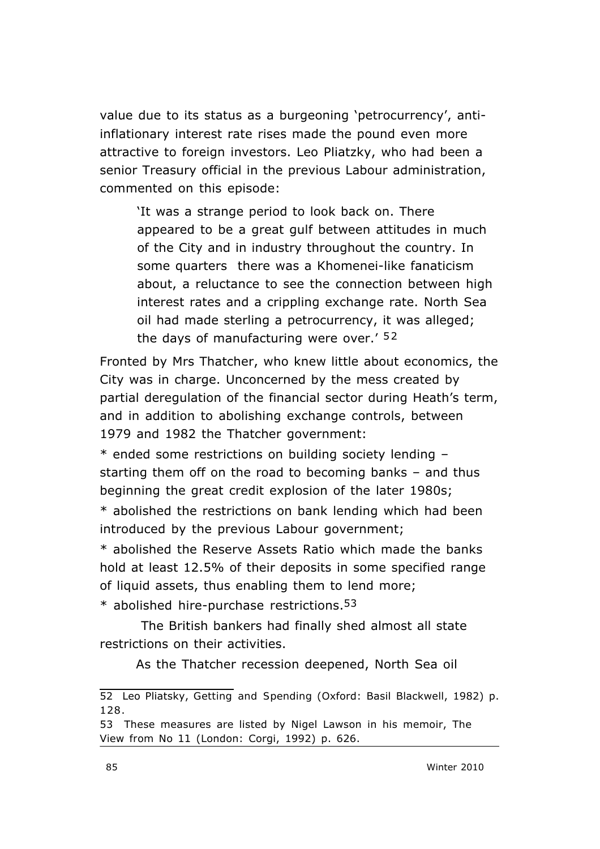value due to its status as a burgeoning 'petrocurrency', antiinflationary interest rate rises made the pound even more attractive to foreign investors. Leo Pliatzky, who had been a senior Treasury official in the previous Labour administration, commented on this episode:

'It was a strange period to look back on. There appeared to be a great gulf between attitudes in much of the City and in industry throughout the country. In some quarters there was a Khomenei-like fanaticism about, a reluctance to see the connection between high interest rates and a crippling exchange rate. North Sea oil had made sterling a petrocurrency, it was alleged; the days of manufacturing were over.'  $52$ 

Fronted by Mrs Thatcher, who knew little about economics, the City was in charge. Unconcerned by the mess created by partial deregulation of the financial sector during Heath's term, and in addition to abolishing exchange controls, between 1979 and 1982 the Thatcher government:

\* ended some restrictions on building society lending – starting them off on the road to becoming banks – and thus beginning the great credit explosion of the later 1980s;

\* abolished the restrictions on bank lending which had been introduced by the previous Labour government;

\* abolished the Reserve Assets Ratio which made the banks hold at least 12.5% of their deposits in some specified range of liquid assets, thus enabling them to lend more;

 $*$  abolished hire-purchase restrictions.<sup>53</sup>

The British bankers had finally shed almost all state restrictions on their activities.

As the Thatcher recession deepened, North Sea oil

<sup>52</sup> Leo Pliatsky, *Getting and Spending* (Oxford: Basil Blackwell, 1982) p. 128.

<sup>53</sup> These measures are listed by Nigel Lawson in his memoir, *The View from No 11* (London: Corgi, 1992) p. 626.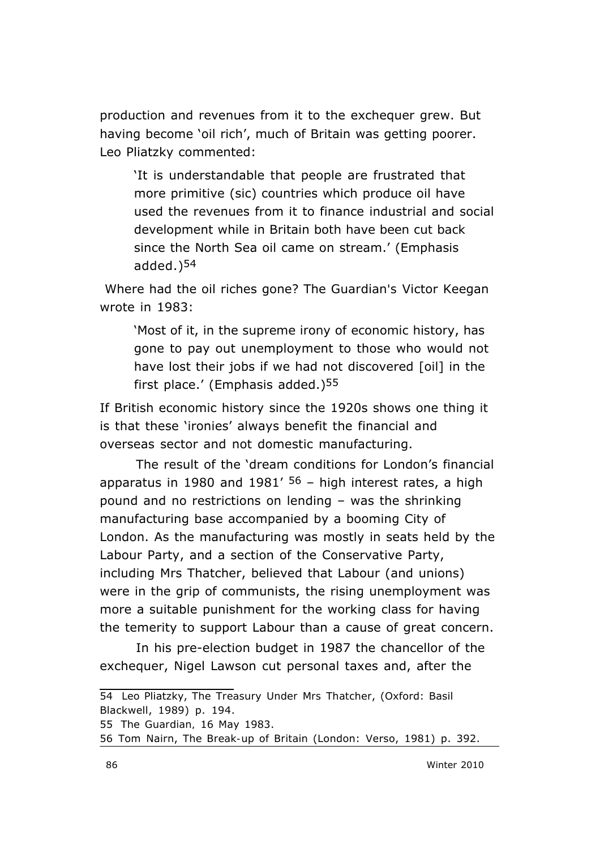production and revenues from it to the exchequer grew. But having become 'oil rich', much of Britain was getting poorer. Leo Pliatzky commented:

'It is understandable that people are frustrated that more primitive (sic) countries which produce oil have used the revenues from it to finance industrial and social development while in Britain *both have been cut back*  since the North Sea oil came on stream.' (Emphasis added.)54

Where had the oil riches gone? The *Guardian's* Victor Keegan wrote in 1983:

'Most of it, in the *supreme irony of economic history*, has gone to pay out unemployment to those who would not have lost their jobs if we had not discovered [oil] in the first place.' (Emphasis added.)55

If British economic history since the 1920s shows one thing it is that these 'ironies' always benefit the financial and overseas sector and not domestic manufacturing.

The result of the 'dream conditions for London's financial apparatus in 1980 and 1981'  $56$  – high interest rates, a high pound and no restrictions on lending – was the shrinking manufacturing base accompanied by a booming City of London. As the manufacturing was mostly in seats held by the Labour Party, and a section of the Conservative Party, including Mrs Thatcher, believed that Labour (and unions) were in the grip of communists, the rising unemployment was more a suitable punishment for the working class for having the temerity to support Labour than a cause of great concern.

In his pre-election budget in 1987 the chancellor of the exchequer, Nigel Lawson cut personal taxes and, after the

<sup>54</sup> Leo Pliatzky, *The Treasury Under Mrs Thatcher*, (Oxford: Basil Blackwell, 1989) p. 194.

<sup>55</sup> *The Guardian,* 16 May 1983.

<sup>56</sup> Tom Nairn, *The Break-up of Britain* (London: Verso, 1981) p. 392.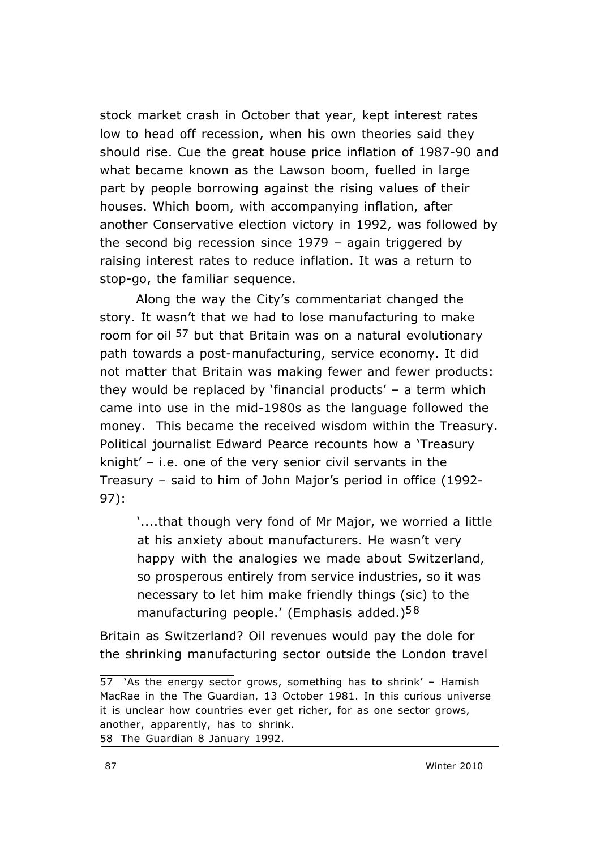stock market crash in October that year, kept interest rates low to head off recession, when his own theories said they should rise. Cue the great house price inflation of 1987-90 and what became known as the Lawson boom, fuelled in large part by people borrowing against the rising values of their houses. Which boom, with accompanying inflation, after another Conservative election victory in 1992, was followed by the second big recession since 1979 – again triggered by raising interest rates to reduce inflation. It was a return to stop-go, the familiar sequence.

 Along the way the City's commentariat changed the story. It wasn't that we had to lose manufacturing to make room for oil <sup>57</sup> but that Britain was on a natural evolutionary path towards a post-manufacturing, service economy. It did not matter that Britain was making fewer and fewer products: they would be replaced by 'financial products' – a term which came into use in the mid-1980s as the language followed the money. This became the received wisdom within the Treasury. Political journalist Edward Pearce recounts how a 'Treasury knight' – i.e. one of the very senior civil servants in the Treasury – said to him of John Major's period in office (1992- 97):

'....that though very fond of Mr Major, we worried a little at his anxiety about manufacturers. He wasn't very happy with the analogies we made about Switzerland, *so prosperous entirely from service industries*, so it was necessary to let him make friendly things (sic) to the manufacturing people.' (Emphasis added.)<sup>58</sup>

Britain as Switzerland? Oil revenues would pay the dole for the shrinking manufacturing sector outside the London travel

<sup>57 &#</sup>x27;As the energy sector grows, something has to shrink' – Hamish MacRae in the *The Guardian,* 13 October 1981. In this curious universe it is unclear how countries ever get richer, for as one sector grows, another, apparently, has to shrink. 58 *The Guardian* 8 January 1992.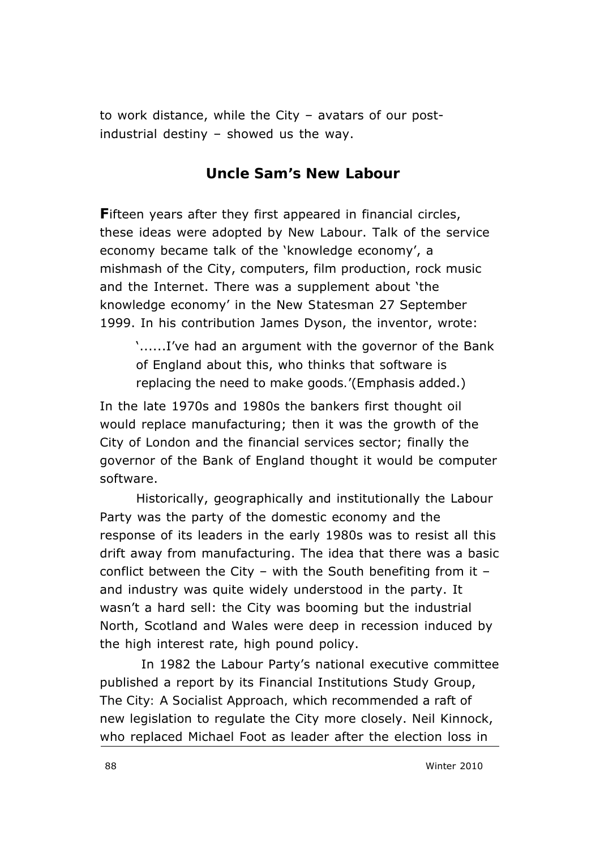to work distance, while the City – avatars of our postindustrial destiny – showed us the way.

**Uncle Sam's New Labour**

**F**ifteen years after they first appeared in financial circles, these ideas were adopted by New Labour. Talk of the service economy became talk of the 'knowledge economy', a mishmash of the City, computers, film production, rock music and the Internet. There was a supplement about 'the knowledge economy' in the *New Statesman* 27 September 1999. In his contribution James Dyson, the inventor, wrote:

'......I've had an argument with the governor of the Bank of England about this, *who thinks that software is replacing the need to make goods.*'(Emphasis added.)

In the late 1970s and 1980s the bankers first thought oil would replace manufacturing; then it was the growth of the City of London and the financial services sector; finally the governor of the Bank of England thought it would be computer software.

 Historically, geographically and institutionally the Labour Party was the party of the domestic economy and the response of its leaders in the early 1980s was to resist all this drift away from manufacturing. The idea that there was a basic conflict between the City – with the South benefiting from it – and industry was quite widely understood in the party. It wasn't a hard sell: the City was booming but the industrial North, Scotland and Wales were deep in recession induced by the high interest rate, high pound policy.

In 1982 the Labour Party's national executive committee published a report by its Financial Institutions Study Group, *The City: A Socialist Approach,* which recommended a raft of new legislation to regulate the City more closely. Neil Kinnock, who replaced Michael Foot as leader after the election loss in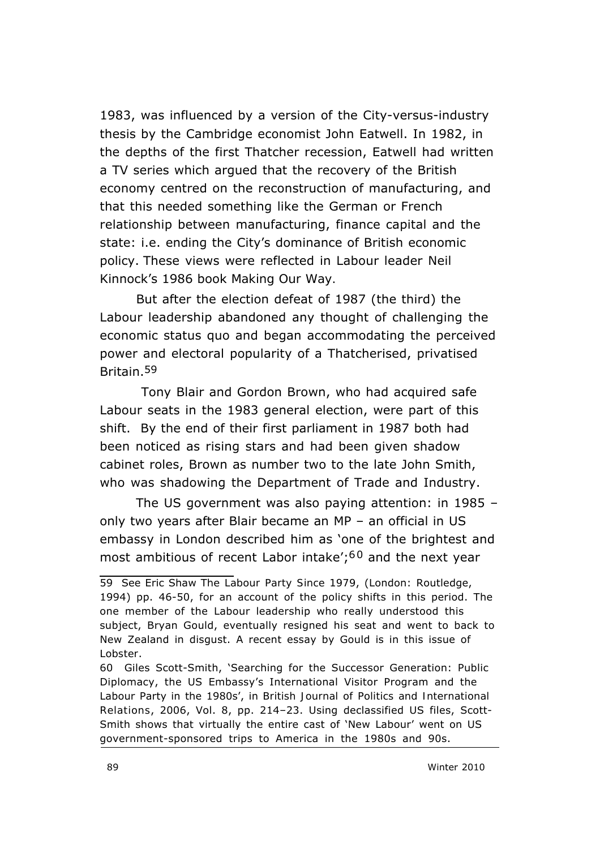1983, was influenced by a version of the City-versus-industry thesis by the Cambridge economist John Eatwell. In 1982, in the depths of the first Thatcher recession, Eatwell had written a TV series which argued that the recovery of the British economy centred on the reconstruction of manufacturing, and that this needed something like the German or French relationship between manufacturing, finance capital and the state: i.e. ending the City's dominance of British economic policy. These views were reflected in Labour leader Neil Kinnock's 1986 book *Making Our Way.* 

But after the election defeat of 1987 (the third) the Labour leadership abandoned any thought of challenging the economic status quo and began accommodating the perceived power and electoral popularity of a Thatcherised, privatised Britain.59

Tony Blair and Gordon Brown, who had acquired safe Labour seats in the 1983 general election, were part of this shift. By the end of their first parliament in 1987 both had been noticed as rising stars and had been given shadow cabinet roles, Brown as number two to the late John Smith, who was shadowing the Department of Trade and Industry.

The US government was also paying attention: in 1985 – only two years after Blair became an MP – an official in US embassy in London described him as 'one of the brightest and most ambitious of recent Labor intake';  $60$  and the next year

<sup>59</sup> See Eric Shaw *The Labour Party Since 1979*, (London: Routledge, 1994) pp. 46-50, for an account of the policy shifts in this period. The one member of the Labour leadership who really understood this subject, Bryan Gould, eventually resigned his seat and went to back to New Zealand in disgust. A recent essay by Gould is in this issue of *Lobster*.

<sup>60</sup> Giles Scott-Smith, 'Searching for the Successor Generation: Public Diplomacy, the US Embassy's International Visitor Program and the Labour Party in the 1980s', in *British Journal of Politics and International Relations*, 2006, Vol. 8, pp. 214–23. Using declassified US files, Scott-Smith shows that virtually the entire cast of 'New Labour' went on US government-sponsored trips to America in the 1980s and 90s.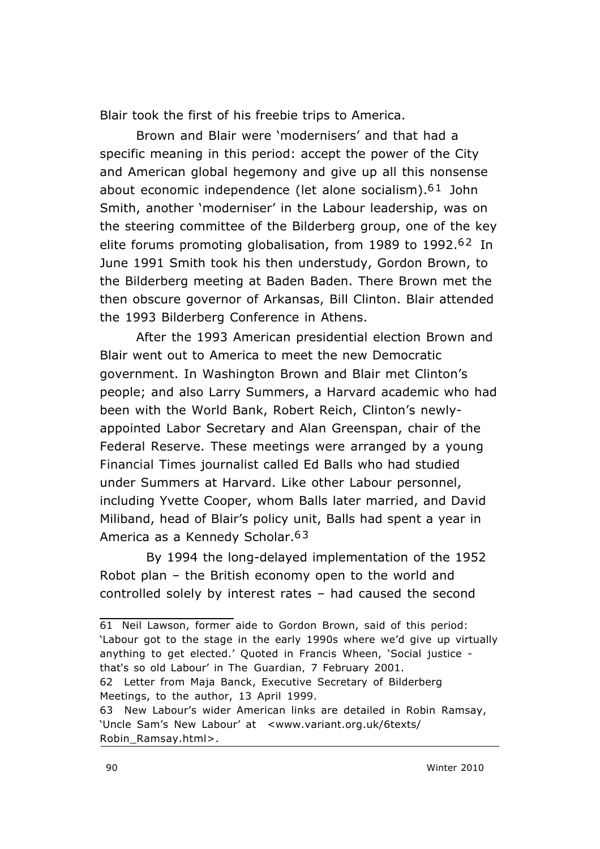Blair took the first of his freebie trips to America.

 Brown and Blair were 'modernisers' and that had a specific meaning in this period: accept the power of the City and American global hegemony and give up all this nonsense about economic independence (let alone socialism).<sup>61</sup> John Smith, another 'moderniser' in the Labour leadership, was on the steering committee of the Bilderberg group, one of the key elite forums promoting globalisation, from 1989 to 1992.<sup>62</sup> In June 1991 Smith took his then understudy, Gordon Brown, to the Bilderberg meeting at Baden Baden. There Brown met the then obscure governor of Arkansas, Bill Clinton. Blair attended the 1993 Bilderberg Conference in Athens.

After the 1993 American presidential election Brown and Blair went out to America to meet the new Democratic government. In Washington Brown and Blair met Clinton's people; and also Larry Summers, a Harvard academic who had been with the World Bank, Robert Reich, Clinton's newlyappointed Labor Secretary and Alan Greenspan, chair of the Federal Reserve. These meetings were arranged by a young *Financial Times* journalist called Ed Balls who had studied under Summers at Harvard. Like other Labour personnel, including Yvette Cooper, whom Balls later married, and David Miliband, head of Blair's policy unit, Balls had spent a year in America as a Kennedy Scholar.<sup>63</sup>

 By 1994 the long-delayed implementation of the 1952 Robot plan – the British economy open to the world and controlled solely by interest rates – had caused the second

<sup>61</sup> Neil Lawson, former aide to Gordon Brown, said of this period: 'Labour got to the stage in the early 1990s where we'd give up virtually anything to get elected.' Quoted in Francis Wheen, 'Social justice that's so old Labour' in *The Guardian,* 7 February 2001. 62 Letter from Maja Banck, Executive Secretary of Bilderberg Meetings, to the author, 13 April 1999. 63 New Labour's wider American links are detailed in Robin Ramsay, 'Uncle Sam's New Labour' at <www.variant.org.uk/6texts/ Robin\_Ramsay.html>.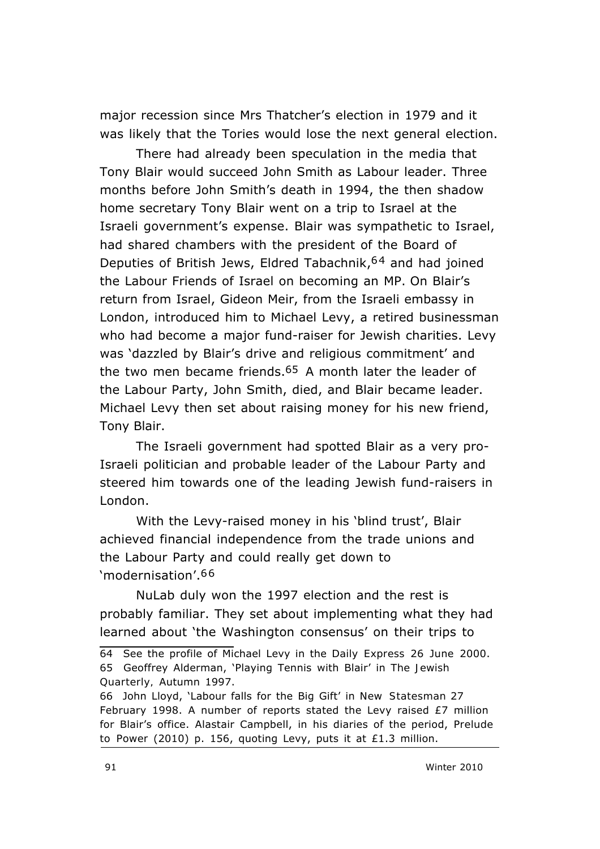major recession since Mrs Thatcher's election in 1979 and it was likely that the Tories would lose the next general election.

There had already been speculation in the media that Tony Blair would succeed John Smith as Labour leader. Three months before John Smith's death in 1994, the then shadow home secretary Tony Blair went on a trip to Israel at the Israeli government's expense. Blair was sympathetic to Israel, had shared chambers with the president of the Board of Deputies of British Jews, Eldred Tabachnik, <sup>64</sup> and had joined the Labour Friends of Israel on becoming an MP. On Blair's return from Israel, Gideon Meir, from the Israeli embassy in London, introduced him to Michael Levy, a retired businessman who had become a major fund-raiser for Jewish charities. Levy was 'dazzled by Blair's drive and religious commitment' and the two men became friends.<sup>65</sup> A month later the leader of the Labour Party, John Smith, died, and Blair became leader. Michael Levy then set about raising money for his new friend, Tony Blair.

The Israeli government had spotted Blair as a very pro-Israeli politician and probable leader of the Labour Party and steered him towards one of the leading Jewish fund-raisers in London.

With the Levy-raised money in his 'blind trust', Blair achieved financial independence from the trade unions and the Labour Party and could really get down to 'modernisation'.6 6

 NuLab duly won the 1997 election and the rest is probably familiar. They set about implementing what they had learned about 'the Washington consensus' on their trips to

<sup>64</sup> See the profile of Michael Levy in the *Daily Express* 26 June 2000. 65 Geoffrey Alderman, 'Playing Tennis with Blair' in *The Jewish Quarterly,* Autumn 1997.

<sup>66</sup> John Lloyd, 'Labour falls for the Big Gift' in *New Statesman* 27 February 1998. A number of reports stated the Levy raised  $E7$  million for Blair's office. Alastair Campbell, in his diaries of the period, *Prelude to Power* (2010) p. 156, quoting Levy, puts it at £1.3 million.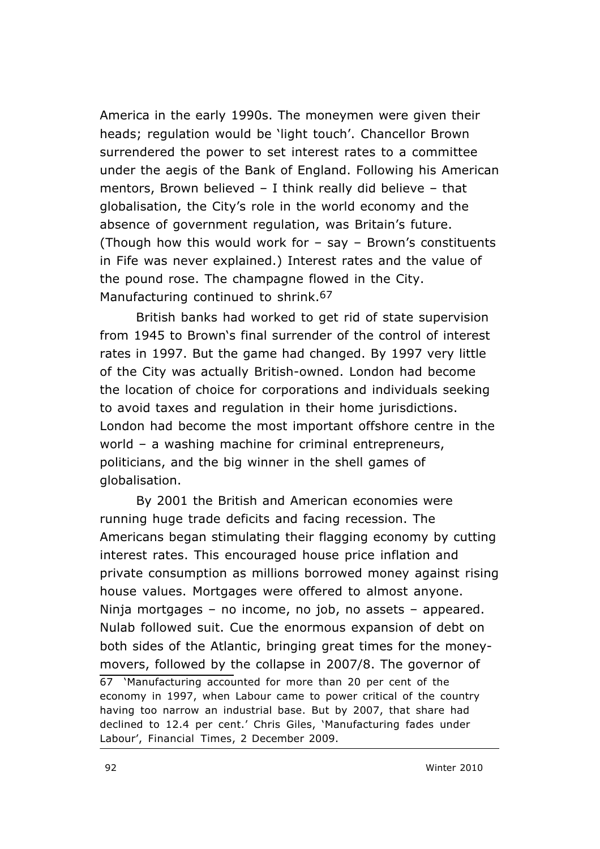America in the early 1990s. The moneymen were given their heads; regulation would be 'light touch'. Chancellor Brown surrendered the power to set interest rates to a committee under the aegis of the Bank of England. Following his American mentors, Brown believed – I think really did believe – that globalisation, the City's role in the world economy and the absence of government regulation, was Britain's future. (Though how this would work for – say – Brown's constituents in Fife was never explained.) Interest rates and the value of the pound rose. The champagne flowed in the City. Manufacturing continued to shrink.<sup>67</sup>

British banks had worked to get rid of state supervision from 1945 to Brown's final surrender of the control of interest rates in 1997. But the game had changed. By 1997 very little of the City was actually British-owned. London had become the location of choice for corporations and individuals seeking to avoid taxes and regulation in their home jurisdictions. London had become the most important offshore centre in the world – a washing machine for criminal entrepreneurs, politicians, and the big winner in the shell games of globalisation.

By 2001 the British and American economies were running huge trade deficits and facing recession. The Americans began stimulating their flagging economy by cutting interest rates. This encouraged house price inflation and private consumption as millions borrowed money against rising house values. Mortgages were offered to almost anyone. Ninja mortgages – no income, no job, no assets – appeared. Nulab followed suit. Cue the enormous expansion of debt on both sides of the Atlantic, bringing great times for the moneymovers, followed by the collapse in 2007/8. The governor of 67 'Manufacturing accounted for more than 20 per cent of the economy in 1997, when Labour came to power critical of the country having too narrow an industrial base. But by 2007, that share had declined to 12.4 per cent.' Chris Giles, 'Manufacturing fades under Labour', *Financial Times*, 2 December 2009.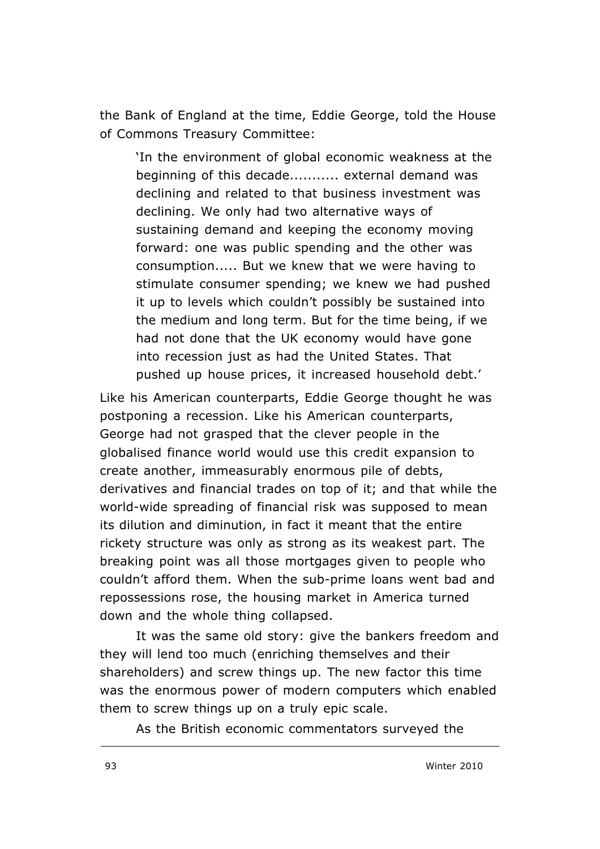the Bank of England at the time, Eddie George, told the House of Commons Treasury Committee:

'In the environment of global economic weakness at the beginning of this decade........... external demand was declining and related to that business investment was declining. We only had two alternative ways of sustaining demand and keeping the economy moving forward: one was public spending and the other was consumption..... But we knew that we were having to stimulate consumer spending; we knew we had pushed it up to levels which couldn't possibly be sustained into the medium and long term. But for the time being, if we had not done that the UK economy would have gone into recession just as had the United States. That pushed up house prices, it increased household debt.'

Like his American counterparts, Eddie George thought he was postponing a recession. Like his American counterparts, George had not grasped that the clever people in the globalised finance world would use this credit expansion to create another, immeasurably enormous pile of debts, derivatives and financial trades on top of it; and that while the world-wide spreading of financial risk was supposed to mean its dilution and diminution, in fact it meant that the entire rickety structure was only as strong as its weakest part. The breaking point was all those mortgages given to people who couldn't afford them. When the sub-prime loans went bad and repossessions rose, the housing market in America turned down and the whole thing collapsed.

It was the same old story: give the bankers freedom and they will lend too much (enriching themselves and their shareholders) and screw things up. The new factor this time was the enormous power of modern computers which enabled them to screw things up on a truly epic scale.

As the British economic commentators surveyed the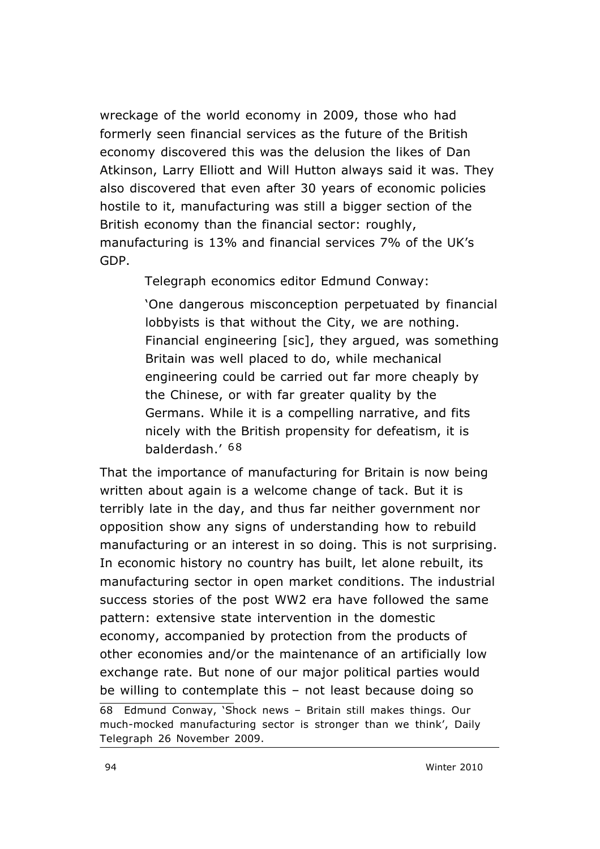wreckage of the world economy in 2009, those who had formerly seen financial services as the future of the British economy discovered this was the delusion the likes of Dan Atkinson, Larry Elliott and Will Hutton always said it was. They also discovered that even after 30 years of economic policies hostile to it, manufacturing was still a bigger section of the British economy than the financial sector: roughly, manufacturing is 13% and financial services 7% of the UK's GDP.

*Telegraph* economics editor Edmund Conway:

'One dangerous misconception perpetuated by financial lobbyists is that without the City, we are nothing. Financial engineering [sic], they argued, was something Britain was well placed to do, while mechanical engineering could be carried out far more cheaply by the Chinese, or with far greater quality by the Germans. While it is a compelling narrative, and fits nicely with the British propensity for defeatism, it is balderdash.' 68

That the importance of manufacturing for Britain is now being written about again is a welcome change of tack. But it is terribly late in the day, and thus far neither government nor opposition show any signs of understanding how to rebuild manufacturing or an interest in so doing. This is not surprising. In economic history no country has built, let alone rebuilt, its manufacturing sector in open market conditions. The industrial success stories of the post WW2 era have followed the same pattern: extensive state intervention in the domestic economy, accompanied by protection from the products of other economies and/or the maintenance of an artificially low exchange rate. But none of our major political parties would be willing to contemplate this – not least because doing so 68 Edmund Conway, 'Shock news – Britain still makes things. Our much-mocked manufacturing sector is stronger than we think', *Daily Telegraph* 26 November 2009.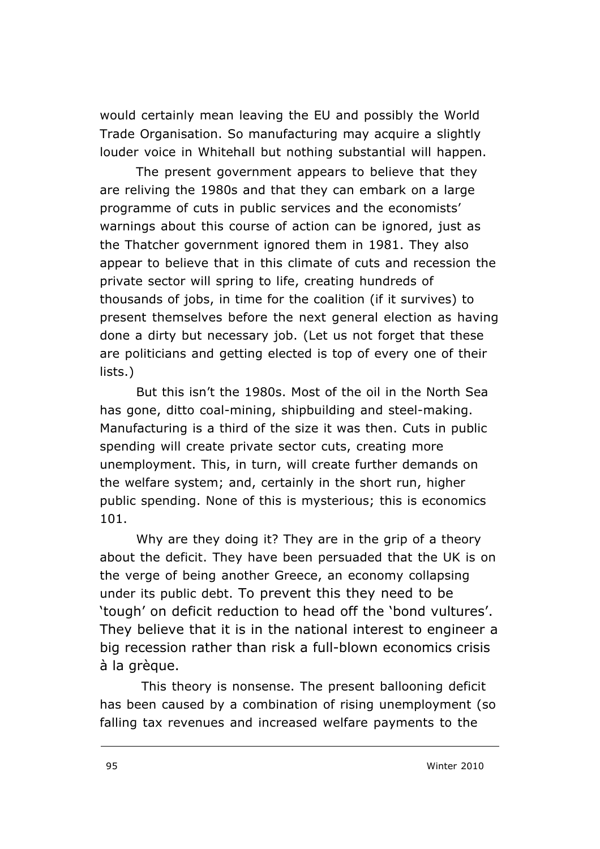would certainly mean leaving the EU and possibly the World Trade Organisation. So manufacturing may acquire a slightly louder voice in Whitehall but nothing substantial will happen.

The present government appears to believe that they are reliving the 1980s and that they can embark on a large programme of cuts in public services and the economists' warnings about this course of action can be ignored, just as the Thatcher government ignored them in 1981. They also appear to believe that in this climate of cuts and recession the private sector will spring to life, creating hundreds of thousands of jobs, in time for the coalition (if it survives) to present themselves before the next general election as having done a dirty but necessary job. (Let us not forget that these are politicians and getting elected is top of every one of their lists.)

But this isn't the 1980s. Most of the oil in the North Sea has gone, ditto coal-mining, shipbuilding and steel-making. Manufacturing is a third of the size it was then. Cuts in public spending will create private sector cuts, creating more unemployment. This, in turn, will create further demands on the welfare system; and, certainly in the short run, *higher* public spending. None of this is mysterious; this is economics 101.

Why are they doing it? They are in the grip of a theory about the deficit. They have been persuaded that the UK is on the verge of being another Greece, an economy collapsing under its public debt. To prevent this they need to be 'tough' on deficit reduction to head off the 'bond vultures'. They believe that it is in the national interest to engineer a big recession rather than risk a full-blown economics crisis à la grèque.

This theory is nonsense. The present ballooning deficit has been caused by a combination of rising unemployment (so falling tax revenues and increased welfare payments to the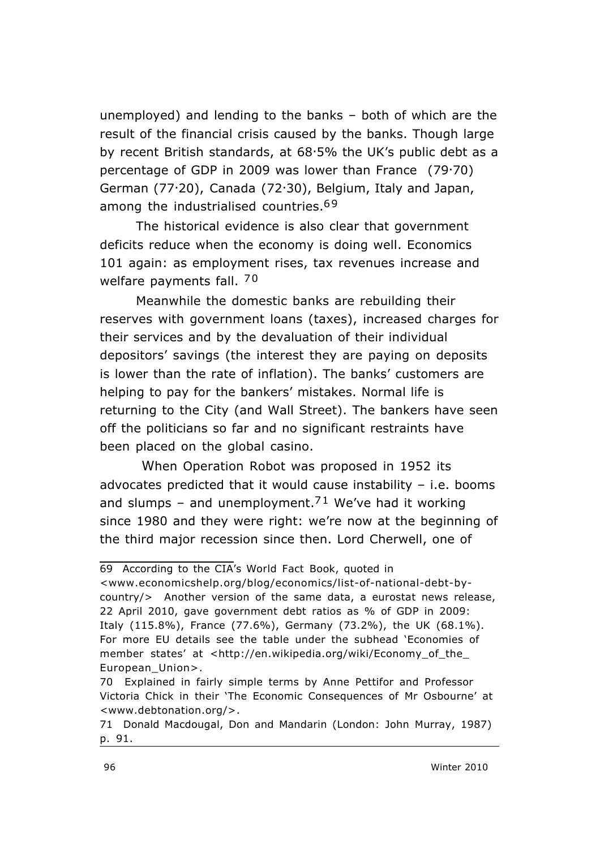unemployed) and lending to the banks – both of which are the result of the financial crisis caused *by* the banks. Though large by recent British standards, at 68.5% the UK's public debt as a percentage of GDP in 2009 was lower than France (79.70) German (77.20), Canada (72.30), Belgium, Italy and Japan, among the industrialised countries.<sup>69</sup>

The historical evidence is also clear that government deficits reduce when the economy is doing well. Economics 101 again: as employment rises, tax revenues increase and welfare payments fall. 70

Meanwhile the domestic banks are rebuilding their reserves with government loans (taxes), increased charges for their services and by the devaluation of their individual depositors' savings (the interest they are paying on deposits is lower than the rate of inflation). The banks' customers are helping to pay for the bankers' mistakes. Normal life is returning to the City (and Wall Street). The bankers have seen off the politicians so far and no significant restraints have been placed on the global casino.

 When Operation Robot was proposed in 1952 its *advocates* predicted that it would cause instability – i.e. booms and slumps – and unemployment.<sup>71</sup> We've had it working since 1980 and they were right: we're now at the beginning of the third major recession since then. Lord Cherwell, one of

<sup>69</sup> According to the CIA's *World Fact Book*, quoted in

<sup>&</sup>lt;www.economicshelp.org/blog/economics/list-of-national-debt-bycountry/> Another version of the same data, a eurostat news release, 22 April 2010, gave government debt ratios as % of GDP in 2009: Italy (115.8%), France (77.6%), Germany (73.2%), the UK (68.1%). For more EU details see the table under the subhead 'Economies of member states' at <http://en.wikipedia.org/wiki/Economy\_of\_the\_ European\_Union>.

<sup>70</sup> Explained in fairly simple terms by Anne Pettifor and Professor Victoria Chick in their 'The Economic Consequences of Mr Osbourne' at <www.debtonation.org/>.

<sup>71</sup> Donald Macdougal, *Don and Mandarin* (London: John Murray, 1987) p. 91.